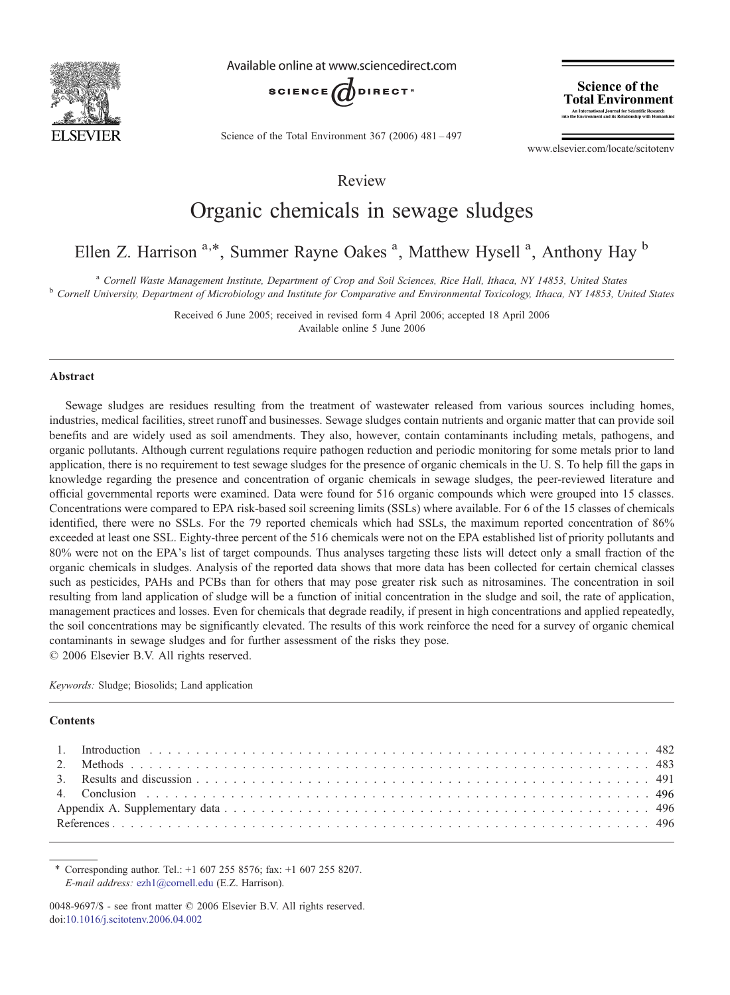

Available online at www.sciencedirect.com



Science of the Total Environment 367 (2006) 481–497

**Science of the Total Environment** An International Journal for Scientific Research<br>the Environment and its Relationship with Humankind

www.elsevier.com/locate/scitotenv

Review

# Organic chemicals in sewage sludges

Ellen Z. Harrison <sup>a,\*</sup>, Summer Rayne Oakes <sup>a</sup>, Matthew Hysell <sup>a</sup>, Anthony Hay <sup>b</sup>

<sup>a</sup> Cornell Waste Management Institute, Department of Crop and Soil Sciences, Rice Hall, Ithaca, NY 14853, United States<br><sup>b</sup> Cornell University, Department of Microbiology and Institute for Comparative and Environmental To

Received 6 June 2005; received in revised form 4 April 2006; accepted 18 April 2006 Available online 5 June 2006

### Abstract

Sewage sludges are residues resulting from the treatment of wastewater released from various sources including homes, industries, medical facilities, street runoff and businesses. Sewage sludges contain nutrients and organic matter that can provide soil benefits and are widely used as soil amendments. They also, however, contain contaminants including metals, pathogens, and organic pollutants. Although current regulations require pathogen reduction and periodic monitoring for some metals prior to land application, there is no requirement to test sewage sludges for the presence of organic chemicals in the U. S. To help fill the gaps in knowledge regarding the presence and concentration of organic chemicals in sewage sludges, the peer-reviewed literature and official governmental reports were examined. Data were found for 516 organic compounds which were grouped into 15 classes. Concentrations were compared to EPA risk-based soil screening limits (SSLs) where available. For 6 of the 15 classes of chemicals identified, there were no SSLs. For the 79 reported chemicals which had SSLs, the maximum reported concentration of 86% exceeded at least one SSL. Eighty-three percent of the 516 chemicals were not on the EPA established list of priority pollutants and 80% were not on the EPA's list of target compounds. Thus analyses targeting these lists will detect only a small fraction of the organic chemicals in sludges. Analysis of the reported data shows that more data has been collected for certain chemical classes such as pesticides, PAHs and PCBs than for others that may pose greater risk such as nitrosamines. The concentration in soil resulting from land application of sludge will be a function of initial concentration in the sludge and soil, the rate of application, management practices and losses. Even for chemicals that degrade readily, if present in high concentrations and applied repeatedly, the soil concentrations may be significantly elevated. The results of this work reinforce the need for a survey of organic chemical contaminants in sewage sludges and for further assessment of the risks they pose. © 2006 Elsevier B.V. All rights reserved.

Keywords: Sludge; Biosolids; Land application

#### **Contents**

⁎ Corresponding author. Tel.: +1 607 255 8576; fax: +1 607 255 8207. E-mail address: [ezh1@cornell.edu](mailto:ezh1@cornell.edu) (E.Z. Harrison).

<sup>0048-9697/\$ -</sup> see front matter © 2006 Elsevier B.V. All rights reserved. doi[:10.1016/j.scitotenv.2006.04.002](http://dx.doi.org/10.1016/j.scitotenv.2006.04.002)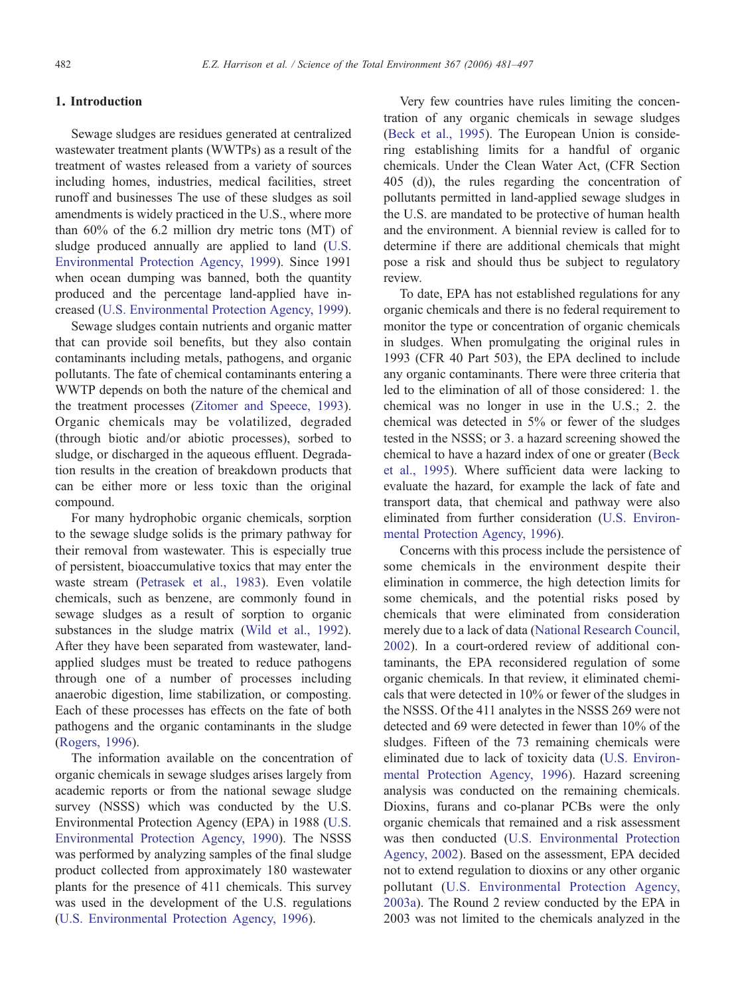### 1. Introduction

Sewage sludges are residues generated at centralized wastewater treatment plants (WWTPs) as a result of the treatment of wastes released from a variety of sources including homes, industries, medical facilities, street runoff and businesses The use of these sludges as soil amendments is widely practiced in the U.S., where more than 60% of the 6.2 million dry metric tons (MT) of sludge produced annually are applied to land ([U.S.](#page-16-0) [Environmental Protection Agency, 1999](#page-16-0)). Since 1991 when ocean dumping was banned, both the quantity produced and the percentage land-applied have increased [\(U.S. Environmental Protection Agency, 1999\)](#page-16-0).

Sewage sludges contain nutrients and organic matter that can provide soil benefits, but they also contain contaminants including metals, pathogens, and organic pollutants. The fate of chemical contaminants entering a WWTP depends on both the nature of the chemical and the treatment processes ([Zitomer and Speece, 1993\)](#page-16-0). Organic chemicals may be volatilized, degraded (through biotic and/or abiotic processes), sorbed to sludge, or discharged in the aqueous effluent. Degradation results in the creation of breakdown products that can be either more or less toxic than the original compound.

For many hydrophobic organic chemicals, sorption to the sewage sludge solids is the primary pathway for their removal from wastewater. This is especially true of persistent, bioaccumulative toxics that may enter the waste stream ([Petrasek et al., 1983\)](#page-16-0). Even volatile chemicals, such as benzene, are commonly found in sewage sludges as a result of sorption to organic substances in the sludge matrix [\(Wild et al., 1992\)](#page-16-0). After they have been separated from wastewater, landapplied sludges must be treated to reduce pathogens through one of a number of processes including anaerobic digestion, lime stabilization, or composting. Each of these processes has effects on the fate of both pathogens and the organic contaminants in the sludge [\(Rogers, 1996](#page-16-0)).

The information available on the concentration of organic chemicals in sewage sludges arises largely from academic reports or from the national sewage sludge survey (NSSS) which was conducted by the U.S. Environmental Protection Agency (EPA) in 1988 ([U.S.](#page-16-0) [Environmental Protection Agency, 1990\)](#page-16-0). The NSSS was performed by analyzing samples of the final sludge product collected from approximately 180 wastewater plants for the presence of 411 chemicals. This survey was used in the development of the U.S. regulations [\(U.S. Environmental Protection Agency, 1996](#page-16-0)).

Very few countries have rules limiting the concentration of any organic chemicals in sewage sludges [\(Beck et al., 1995\)](#page-15-0). The European Union is considering establishing limits for a handful of organic chemicals. Under the Clean Water Act, (CFR Section 405 (d)), the rules regarding the concentration of pollutants permitted in land-applied sewage sludges in the U.S. are mandated to be protective of human health and the environment. A biennial review is called for to determine if there are additional chemicals that might pose a risk and should thus be subject to regulatory review.

To date, EPA has not established regulations for any organic chemicals and there is no federal requirement to monitor the type or concentration of organic chemicals in sludges. When promulgating the original rules in 1993 (CFR 40 Part 503), the EPA declined to include any organic contaminants. There were three criteria that led to the elimination of all of those considered: 1. the chemical was no longer in use in the U.S.; 2. the chemical was detected in 5% or fewer of the sludges tested in the NSSS; or 3. a hazard screening showed the chemical to have a hazard index of one or greater [\(Beck](#page-15-0) [et al., 1995\)](#page-15-0). Where sufficient data were lacking to evaluate the hazard, for example the lack of fate and transport data, that chemical and pathway were also eliminated from further consideration ([U.S. Environ](#page-16-0)[mental Protection Agency, 1996](#page-16-0)).

Concerns with this process include the persistence of some chemicals in the environment despite their elimination in commerce, the high detection limits for some chemicals, and the potential risks posed by chemicals that were eliminated from consideration merely due to a lack of data [\(National Research Council,](#page-16-0) [2002](#page-16-0)). In a court-ordered review of additional contaminants, the EPA reconsidered regulation of some organic chemicals. In that review, it eliminated chemicals that were detected in 10% or fewer of the sludges in the NSSS. Of the 411 analytes in the NSSS 269 were not detected and 69 were detected in fewer than 10% of the sludges. Fifteen of the 73 remaining chemicals were eliminated due to lack of toxicity data ([U.S. Environ](#page-16-0)[mental Protection Agency, 1996\)](#page-16-0). Hazard screening analysis was conducted on the remaining chemicals. Dioxins, furans and co-planar PCBs were the only organic chemicals that remained and a risk assessment was then conducted [\(U.S. Environmental Protection](#page-16-0) [Agency, 2002](#page-16-0)). Based on the assessment, EPA decided not to extend regulation to dioxins or any other organic pollutant ([U.S. Environmental Protection Agency,](#page-16-0) [2003a\)](#page-16-0). The Round 2 review conducted by the EPA in 2003 was not limited to the chemicals analyzed in the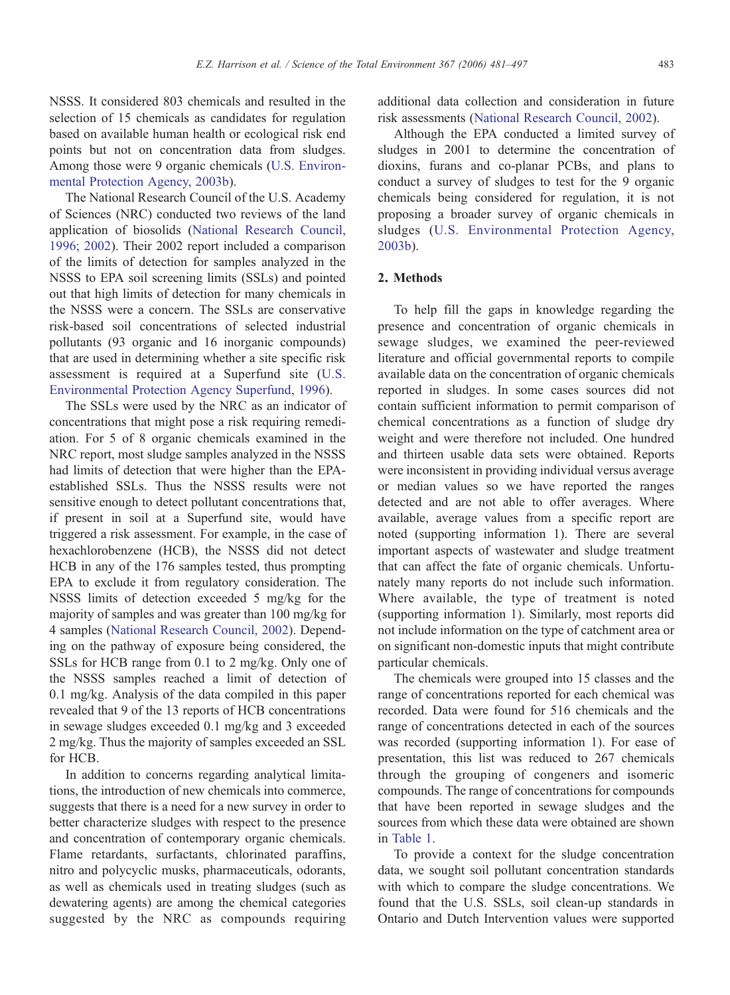NSSS. It considered 803 chemicals and resulted in the selection of 15 chemicals as candidates for regulation based on available human health or ecological risk end points but not on concentration data from sludges. Among those were 9 organic chemicals [\(U.S. Environ](#page-16-0)[mental Protection Agency, 2003b\)](#page-16-0).

The National Research Council of the U.S. Academy of Sciences (NRC) conducted two reviews of the land application of biosolids ([National Research Council,](#page-16-0) [1996; 2002\)](#page-16-0). Their 2002 report included a comparison of the limits of detection for samples analyzed in the NSSS to EPA soil screening limits (SSLs) and pointed out that high limits of detection for many chemicals in the NSSS were a concern. The SSLs are conservative risk-based soil concentrations of selected industrial pollutants (93 organic and 16 inorganic compounds) that are used in determining whether a site specific risk assessment is required at a Superfund site ([U.S.](#page-16-0) [Environmental Protection Agency Superfund, 1996\)](#page-16-0).

The SSLs were used by the NRC as an indicator of concentrations that might pose a risk requiring remediation. For 5 of 8 organic chemicals examined in the NRC report, most sludge samples analyzed in the NSSS had limits of detection that were higher than the EPAestablished SSLs. Thus the NSSS results were not sensitive enough to detect pollutant concentrations that, if present in soil at a Superfund site, would have triggered a risk assessment. For example, in the case of hexachlorobenzene (HCB), the NSSS did not detect HCB in any of the 176 samples tested, thus prompting EPA to exclude it from regulatory consideration. The NSSS limits of detection exceeded 5 mg/kg for the majority of samples and was greater than 100 mg/kg for 4 samples ([National Research Council, 2002](#page-16-0)). Depending on the pathway of exposure being considered, the SSLs for HCB range from 0.1 to 2 mg/kg. Only one of the NSSS samples reached a limit of detection of 0.1 mg/kg. Analysis of the data compiled in this paper revealed that 9 of the 13 reports of HCB concentrations in sewage sludges exceeded 0.1 mg/kg and 3 exceeded 2 mg/kg. Thus the majority of samples exceeded an SSL for HCB.

In addition to concerns regarding analytical limitations, the introduction of new chemicals into commerce, suggests that there is a need for a new survey in order to better characterize sludges with respect to the presence and concentration of contemporary organic chemicals. Flame retardants, surfactants, chlorinated paraffins, nitro and polycyclic musks, pharmaceuticals, odorants, as well as chemicals used in treating sludges (such as dewatering agents) are among the chemical categories suggested by the NRC as compounds requiring additional data collection and consideration in future risk assessments ([National Research Council, 2002\)](#page-16-0).

Although the EPA conducted a limited survey of sludges in 2001 to determine the concentration of dioxins, furans and co-planar PCBs, and plans to conduct a survey of sludges to test for the 9 organic chemicals being considered for regulation, it is not proposing a broader survey of organic chemicals in sludges ([U.S. Environmental Protection Agency,](#page-16-0) [2003b\)](#page-16-0).

# 2. Methods

To help fill the gaps in knowledge regarding the presence and concentration of organic chemicals in sewage sludges, we examined the peer-reviewed literature and official governmental reports to compile available data on the concentration of organic chemicals reported in sludges. In some cases sources did not contain sufficient information to permit comparison of chemical concentrations as a function of sludge dry weight and were therefore not included. One hundred and thirteen usable data sets were obtained. Reports were inconsistent in providing individual versus average or median values so we have reported the ranges detected and are not able to offer averages. Where available, average values from a specific report are noted (supporting information 1). There are several important aspects of wastewater and sludge treatment that can affect the fate of organic chemicals. Unfortunately many reports do not include such information. Where available, the type of treatment is noted (supporting information 1). Similarly, most reports did not include information on the type of catchment area or on significant non-domestic inputs that might contribute particular chemicals.

The chemicals were grouped into 15 classes and the range of concentrations reported for each chemical was recorded. Data were found for 516 chemicals and the range of concentrations detected in each of the sources was recorded (supporting information 1). For ease of presentation, this list was reduced to 267 chemicals through the grouping of congeners and isomeric compounds. The range of concentrations for compounds that have been reported in sewage sludges and the sources from which these data were obtained are shown in [Table 1](#page-3-0).

To provide a context for the sludge concentration data, we sought soil pollutant concentration standards with which to compare the sludge concentrations. We found that the U.S. SSLs, soil clean-up standards in Ontario and Dutch Intervention values were supported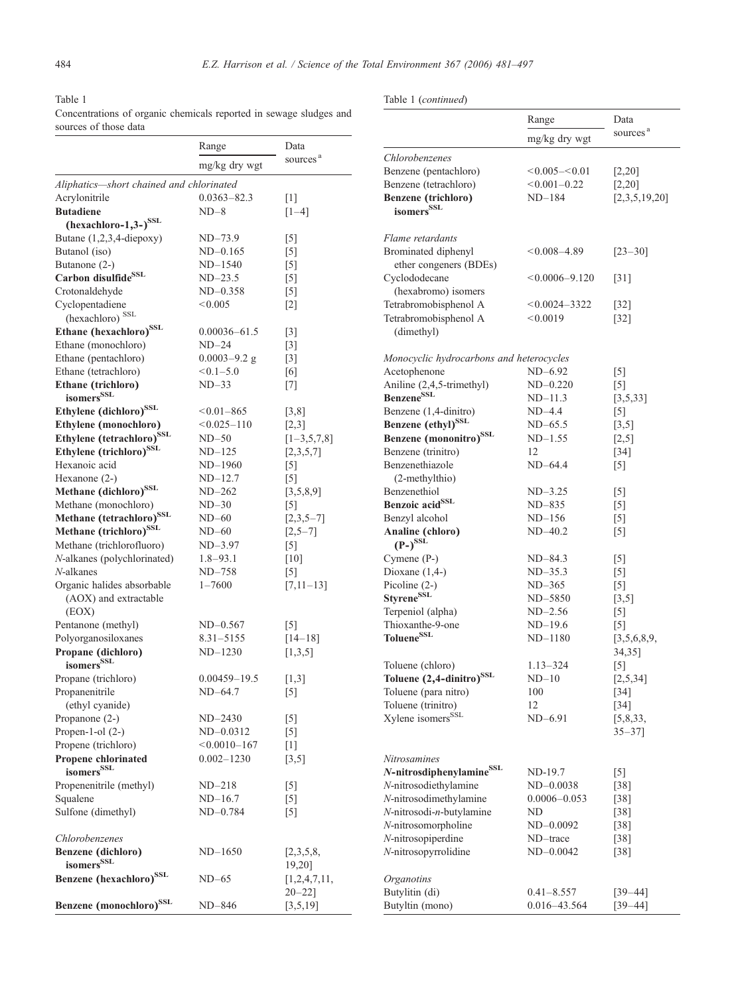# <span id="page-3-0"></span>Table 1 Concentrations of organic chemicals reported in sewage sludges and

# Table 1 (continued)

| sources of those data                    |                  |                      |                         |
|------------------------------------------|------------------|----------------------|-------------------------|
|                                          | Range            | Data                 |                         |
|                                          | mg/kg dry wgt    | sources <sup>a</sup> | Chlorob<br>Benzene      |
| Aliphatics—short chained and chlorinated |                  |                      | Benzene                 |
| Acrylonitrile                            | $0.0363 - 82.3$  | $\lceil 1 \rceil$    | <b>Benzene</b>          |
| <b>Butadiene</b>                         | $ND-8$           | $[1-4]$              | isome                   |
| $(hexachloro-1,3-)$ <sup>SSL</sup>       |                  |                      |                         |
| Butane $(1,2,3,4$ -diepoxy)              | $ND-73.9$        | $^{[5]}$             | Flame re                |
| Butanol (iso)                            | $ND-0.165$       | $\lceil 5 \rceil$    | <b>Bromina</b>          |
| Butanone (2-)                            | ND-1540          | $\lceil 5 \rceil$    | ether                   |
| Carbon disulfide <sup>SSL</sup>          | $ND-23.5$        | $\lceil 5 \rceil$    | Cyclodo                 |
| Crotonaldehyde                           | ND-0.358         | $^{[5]}$             | (hexal                  |
| Cyclopentadiene                          | < 0.005          | $\lceil 2 \rceil$    | Tetrabro                |
| (hexachloro) <sup>SSL</sup>              |                  |                      | Tetrabro                |
| Ethane (hexachloro) <sup>SSL</sup>       | $0.00036 - 61.5$ | $[3]$                | (dime                   |
| Ethane (monochloro)                      | $ND-24$          | $\lceil 3 \rceil$    |                         |
| Ethane (pentachloro)                     | $0.0003 - 9.2$ g | $[3]$                | Monocy                  |
| Ethane (tetrachloro)                     | $< 0.1 - 5.0$    | [6]                  | Acetoph                 |
| Ethane (trichloro)                       | $ND-33$          | $^{[7]}$             | Aniline                 |
| isomers <sup>SSL</sup>                   |                  |                      | <b>Benzene</b>          |
| Ethylene (dichloro) <sup>SSL</sup>       | $< 0.01 - 865$   | [3,8]                | Benzene                 |
| Ethylene (monochloro)                    | $< 0.025 - 110$  | [2,3]                | <b>Benzene</b>          |
| Ethylene (tetrachloro) <sup>SSL</sup>    | $ND-50$          | $[1-3,5,7,8]$        | <b>Benzene</b>          |
| Ethylene (trichloro) <sup>SSL</sup>      | $ND-125$         | [2,3,5,7]            | Benzene                 |
| Hexanoic acid                            | ND-1960          | $\lceil 5 \rceil$    | Benzene                 |
| Hexanone $(2-)$                          | $ND-12.7$        | $\lceil 5 \rceil$    | $(2-me$                 |
| Methane (dichloro) <sup>SSL</sup>        | $ND-262$         | [3,5,8,9]            | Benzene                 |
| Methane (monochloro)                     | $ND-30$          | $\lceil 5 \rceil$    | <b>Benzoic</b>          |
| Methane (tetrachloro) <sup>SSL</sup>     | $ND-60$          | $[2,3,5-7]$          | Benzyl a                |
| Methane (trichloro) <sup>SSL</sup>       | $ND-60$          | $[2,5-7]$            | Analine                 |
| Methane (trichlorofluoro)                | ND-3.97          | $[5]$                | $(P-)^S$                |
| <i>N</i> -alkanes (polychlorinated)      | $1.8 - 93.1$     | $[10]$               | Cymene                  |
| <i>N</i> -alkanes                        | ND-758           | $^{[5]}$             | Dioxane                 |
| Organic halides absorbable               | $1 - 7600$       | $[7,11-13]$          | Picoline                |
| (AOX) and extractable                    |                  |                      | <b>Styrene</b>          |
| (EOX)                                    |                  |                      | Terpenic                |
| Pentanone (methyl)                       | $ND-0.567$       | $\lceil 5 \rceil$    | Thioxan                 |
| Polyorganosiloxanes                      | $8.31 - 5155$    | $[14-18]$            | <b>Toluene</b>          |
| Propane (dichloro)                       | $ND-1230$        | [1,3,5]              |                         |
| isomersSSL                               |                  |                      | Toluene                 |
| Propane (trichloro)                      | $0.00459 - 19.5$ | [1,3]                | <b>Toluene</b>          |
| Propanenitrile                           | $ND-64.7$        | $\lceil 5 \rceil$    | Toluene                 |
| (ethyl cyanide)                          |                  |                      | Toluene                 |
| Propanone $(2-)$                         | ND-2430          | $[5]$                | Xylene i                |
| Propen-1-ol $(2-)$                       | $ND-0.0312$      | $[5]$                |                         |
| Propene (trichloro)                      | $< 0.0010 - 167$ | $[1]$                |                         |
| Propene chlorinated<br>isomersSSL        | $0.002 - 1230$   | $[3,5]$              | Nitrosan<br>$N$ -nitros |
|                                          |                  |                      |                         |
| Propenenitrile (methyl)                  | ND-218           | $^{[5]}$             | N-nitros<br>N-nitros    |
| Squalene<br>Sulfone (dimethyl)           | ND-16.7          | $^{[5]}$             | N-nitros                |
|                                          | ND-0.784         | $[5]$                | N-nitros                |
| Chlorobenzenes                           |                  |                      | N-nitros                |
| Benzene (dichloro)                       | $ND-1650$        | [2,3,5,8,            | N-nitros                |
| isomersSSL                               |                  | 19,20]               |                         |
| Benzene (hexachloro) <sup>SSL</sup>      | $ND-65$          | [1,2,4,7,11,         | Organot                 |
|                                          |                  | $20 - 22$ ]          | <b>Butylitir</b>        |
| Benzene (monochloro) <sup>SSL</sup>      | ND-846           | [3,5,19]             | Butyltin                |
|                                          |                  |                      |                         |

|                                           | Range             | Data                  |
|-------------------------------------------|-------------------|-----------------------|
|                                           | mg/kg dry wgt     | sources <sup>a</sup>  |
| Chlorobenzenes                            |                   |                       |
| Benzene (pentachloro)                     | $<0.005 - <0.01$  | $[2,20]$              |
| Benzene (tetrachloro)                     | $< 0.001 - 0.22$  | $[2,20]$              |
| <b>Benzene</b> (trichloro)                | $ND-184$          | [2,3,5,19,20]         |
| isomers <sup>SSL</sup>                    |                   |                       |
| Flame retardants                          |                   |                       |
| Brominated diphenyl                       | $<0.008-4.89$     | $[23 - 30]$           |
| ether congeners (BDEs)                    |                   |                       |
| Cyclododecane                             | $<0.0006-9.120$   | $[31]$                |
| (hexabromo) isomers                       |                   |                       |
| Tetrabromobisphenol A                     | $< 0.0024 - 3322$ | [32]                  |
| Tetrabromobisphenol A                     | < 0.0019          | [32]                  |
| (dimethyl)                                |                   |                       |
| Monocyclic hydrocarbons and heterocycles  |                   |                       |
| Acetophenone                              | ND-6.92           | $^{[5]}$              |
| Aniline (2,4,5-trimethyl)                 | ND-0.220          | [5]                   |
| Benzene <sup>SSL</sup>                    | $ND-11.3$         | [3,5,33]              |
| Benzene (1,4-dinitro)                     | ND-4.4            | $[5]$                 |
| Benzene (ethyl) <sup>SSL</sup>            | $ND-65.5$         | $[3,5]$               |
| Benzene (mononitro) <sup>SSL</sup>        | $ND-1.55$         | $[2,5]$               |
| Benzene (trinitro)                        | 12                | $[34]$                |
| Benzenethiazole                           | $ND-64.4$         | $\lceil 5 \rceil$     |
| (2-methylthio)                            |                   |                       |
| Benzenethiol                              | $ND-3.25$         | $^{[5]}$              |
| Benzoic acid <sup>SSL</sup>               | ND-835            | $[5]$                 |
| Benzyl alcohol                            | $ND-156$          | $[5]$                 |
| Analine (chloro)<br>$(P-)$ <sup>SSL</sup> | $ND-40.2$         | $\lceil 5 \rceil$     |
| Cymene (P-)                               | ND-84.3           | $^{[5]}$              |
| Dioxane $(1,4-)$                          | ND-35.3           | $^{[5]}$              |
| Picoline (2-)                             | $ND-365$          | $[5]$                 |
| Styrene <sup>SSL</sup>                    | ND-5850           | $[3,5]$               |
| Terpeniol (alpha)                         | $ND-2.56$         | $^{[5]}$              |
| Thioxanthe-9-one                          | ND-19.6           | [5]                   |
| Toluene <sup>SSL</sup>                    | ND-1180           | [3,5,6,8,9,<br>34,35] |
| Toluene (chloro)                          | $1.13 - 324$      | $^{[5]}$              |
| Toluene (2,4-dinitro) <sup>SSL</sup>      | $ND-10$           | [2,5,34]              |
| Toluene (para nitro)                      | 100               | [34]                  |
| Toluene (trinitro)                        | 12                | [34]                  |
| Xylene isomers <sup>SSL</sup>             | $ND-6.91$         | [5,8,33,              |
|                                           |                   | $35 - 37$ ]           |
| Nitrosamines                              |                   |                       |
| N-nitrosdiphenylamine <sup>SSL</sup>      | ND-19.7           | $^{[5]}$              |
| N-nitrosodiethylamine                     | $ND-0.0038$       | $[38]$                |
| N-nitrosodimethylamine                    | $0.0006 - 0.053$  | [38]                  |
| N-nitrosodi-n-butylamine                  | ND                | [38]                  |
| N-nitrosomorpholine                       | $ND-0.0092$       | [38]                  |
| N-nitrosopiperdine                        | ND-trace          | [38]                  |
| N-nitrosopyrrolidine                      | $ND-0.0042$       | [38]                  |
| <i><b>Organotins</b></i>                  |                   |                       |
| Butylitin (di)                            | $0.41 - 8.557$    | [39–44]               |
| Butyltin (mono)                           | 0.016-43.564      | [39–44]               |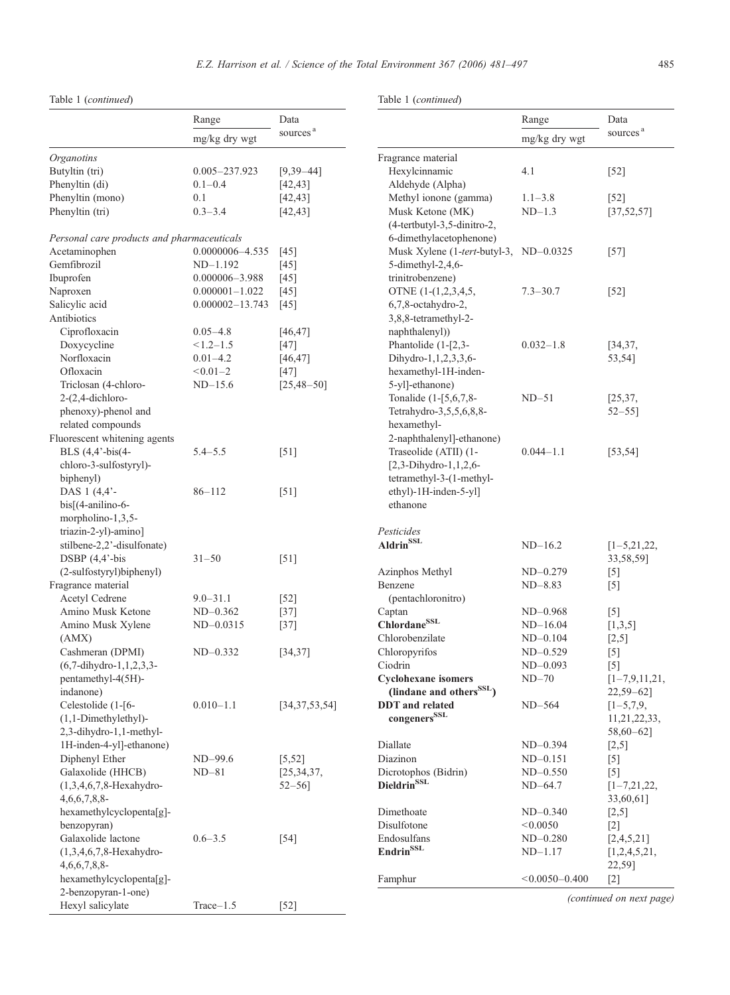Table 1 (continued)

Table 1 (continued)

|                                                     | Range               | Data                 |                                                 | Range              | Data                     |
|-----------------------------------------------------|---------------------|----------------------|-------------------------------------------------|--------------------|--------------------------|
|                                                     | mg/kg dry wgt       | sources <sup>a</sup> |                                                 | mg/kg dry wgt      | sources <sup>a</sup>     |
|                                                     |                     |                      |                                                 |                    |                          |
| Organotins                                          |                     |                      | Fragrance material                              |                    |                          |
| Butyltin (tri)                                      | 0.005-237.923       | $[9,39-44]$          | Hexylcinnamic                                   | 4.1                | $[52]$                   |
| Phenyltin (di)                                      | $0.1 - 0.4$         | [42, 43]             | Aldehyde (Alpha)                                |                    |                          |
| Phenyltin (mono)                                    | 0.1                 | [42, 43]             | Methyl ionone (gamma)                           | $1.1 - 3.8$        | $[52]$                   |
| Phenyltin (tri)                                     | $0.3 - 3.4$         | [42, 43]             | Musk Ketone (MK)<br>(4-tertbutyl-3,5-dinitro-2, | $ND-1.3$           | [37, 52, 57]             |
| Personal care products and pharmaceuticals          |                     |                      | 6-dimethylacetophenone)                         |                    |                          |
| Acetaminophen                                       | 0.0000006-4.535     | $[45]$               | Musk Xylene (1-tert-butyl-3, ND-0.0325          |                    | $[57]$                   |
| Gemfibrozil                                         | $ND-1.192$          | $[45]$               | 5-dimethyl-2,4,6-                               |                    |                          |
| Ibuprofen                                           | $0.000006 - 3.988$  | [45]                 | trinitrobenzene)                                |                    |                          |
| Naproxen                                            | $0.000001 - 1.022$  | [45]                 | OTNE (1-(1,2,3,4,5,                             | $7.3 - 30.7$       | $[52]$                   |
| Salicylic acid                                      | $0.000002 - 13.743$ | $[45]$               | 6,7,8-octahydro-2,                              |                    |                          |
| Antibiotics                                         |                     |                      | 3,8,8-tetramethyl-2-                            |                    |                          |
| Ciprofloxacin                                       | $0.05 - 4.8$        | [46, 47]             | naphthalenyl)                                   |                    |                          |
| Doxycycline                                         | $< 1.2 - 1.5$       | $[47]$               | Phantolide $(1-[2,3-$                           | $0.032 - 1.8$      | [34, 37,                 |
| Norfloxacin                                         | $0.01 - 4.2$        | [46, 47]             | Dihydro-1, 1, 2, 3, 3, 6-                       |                    | 53,54]                   |
| Ofloxacin                                           | $< 0.01 - 2$        | $[47]$               | hexamethyl-1H-inden-                            |                    |                          |
| Triclosan (4-chloro-                                | $ND-15.6$           | $[25, 48 - 50]$      | 5-yl]-ethanone)                                 |                    |                          |
| $2-(2,4-dichloro-$                                  |                     |                      | Tonalide (1-[5,6,7,8-                           | $ND-51$            | [25, 37,                 |
| phenoxy)-phenol and                                 |                     |                      | Tetrahydro-3,5,5,6,8,8-                         |                    | $52 - 55$                |
| related compounds                                   |                     |                      | hexamethyl-                                     |                    |                          |
| Fluorescent whitening agents                        |                     |                      | 2-naphthalenyl]-ethanone)                       |                    |                          |
| BLS (4,4'-bis(4-                                    | $5.4 - 5.5$         | [51]                 | Traseolide (ATII) (1-                           | $0.044 - 1.1$      | [53, 54]                 |
| chloro-3-sulfostyryl)-                              |                     |                      | $[2,3-Dihydro-1,1,2,6-$                         |                    |                          |
| biphenyl)                                           |                     |                      | tetramethyl-3-(1-methyl-                        |                    |                          |
| DAS 1 (4,4'-                                        | $86 - 112$          | $[51]$               | ethyl)-1H-inden-5-yl]                           |                    |                          |
| $bis[(4-anilino-6-$                                 |                     |                      | ethanone                                        |                    |                          |
| morpholino-1,3,5-                                   |                     |                      |                                                 |                    |                          |
| triazin-2-yl)-amino]                                |                     |                      | Pesticides                                      |                    |                          |
| stilbene-2,2'-disulfonate)                          |                     |                      | <b>Aldrin</b> <sup>SSL</sup>                    | $ND-16.2$          | $[1-5, 21, 22,$          |
| DSBP (4,4'-bis                                      | $31 - 50$           | [51]                 |                                                 |                    | 33,58,59]                |
| (2-sulfostyryl)biphenyl)                            |                     |                      | Azinphos Methyl                                 | $ND-0.279$         | $[5]$                    |
| Fragrance material                                  |                     |                      | Benzene                                         | $ND-8.83$          | $[5]$                    |
| Acetyl Cedrene                                      | $9.0 - 31.1$        | $[52]$               | (pentachloronitro)                              |                    |                          |
| Amino Musk Ketone                                   | $ND-0.362$          | $[37]$               | Captan                                          | $ND-0.968$         | $\lceil 5 \rceil$        |
| Amino Musk Xylene                                   | $ND-0.0315$         | $[37]$               | ChlordaneSSL                                    | $ND-16.04$         | [1,3,5]                  |
| (AMX)                                               |                     |                      | Chlorobenzilate                                 | $ND-0.104$         | $[2,5]$                  |
| Cashmeran (DPMI)                                    | $ND-0.332$          | [34, 37]             | Chloropyrifos                                   | $ND-0.529$         | $[5]$                    |
| $(6,7$ -dihydro-1,1,2,3,3-                          |                     |                      | Ciodrin                                         | $ND-0.093$         | $[5]$                    |
| pentamethyl-4(5H)-                                  |                     |                      | Cyclohexane isomers                             | $ND-70$            | $[1-7,9,11,21,$          |
| indanone)                                           |                     |                      | (lindane and others <sup>SSL</sup> )            |                    | $22,59 - 62$ ]           |
| Celestolide (1-[6-                                  | $0.010 - 1.1$       |                      | <b>DDT</b> and related                          | $ND-564$           |                          |
|                                                     |                     | [34, 37, 53, 54]     | $\rm{congeners}^{\rm{SSL}}$                     |                    | $[1 - 5, 7, 9,$          |
| $(1,1-Dimethylethyl)$ -                             |                     |                      |                                                 |                    | 11,21,22,33,             |
| 2,3-dihydro-1,1-methyl-<br>1H-inden-4-yl]-ethanone) |                     |                      | Diallate                                        |                    | $58,60 - 62$ ]           |
|                                                     |                     |                      |                                                 | $ND-0.394$         | $[2,5]$                  |
| Diphenyl Ether                                      | ND-99.6             | [5, 52]              | Diazinon                                        | $ND-0.151$         | $[5]$                    |
| Galaxolide (HHCB)                                   | $ND-81$             | [25, 34, 37,         | Dicrotophos (Bidrin)                            | $ND-0.550$         | $[5]$                    |
| $(1,3,4,6,7,8-Hexahydro-$                           |                     | $52 - 56$ ]          | Dieldrin <sup>SSL</sup>                         | $ND-64.7$          | $[1-7, 21, 22,$          |
| $4,6,6,7,8,8$ -                                     |                     |                      |                                                 |                    | 33,60,61]                |
| hexamethylcyclopenta[g]-                            |                     |                      | Dimethoate                                      | $ND-0.340$         | $[2,5]$                  |
| benzopyran)                                         |                     |                      | Disulfotone                                     | < 0.0050           | $[2]$                    |
| Galaxolide lactone                                  | $0.6 - 3.5$         | $[54]$               | Endosulfans                                     | $ND-0.280$         | [2,4,5,21]               |
| $(1,3,4,6,7,8-Hexahydro-$                           |                     |                      | <b>Endrin</b> SSL                               | $ND-1.17$          | [1,2,4,5,21,             |
| $4,6,6,7,8,8$ -                                     |                     |                      |                                                 |                    | 22,59]                   |
| hexamethylcyclopenta[g]-                            |                     |                      | Famphur                                         | $< 0.0050 - 0.400$ | $[2]$                    |
| 2-benzopyran-1-one)                                 |                     |                      |                                                 |                    | (continued on next page) |
| Hexyl salicylate                                    | $Trace-1.5$         | $[52]$               |                                                 |                    |                          |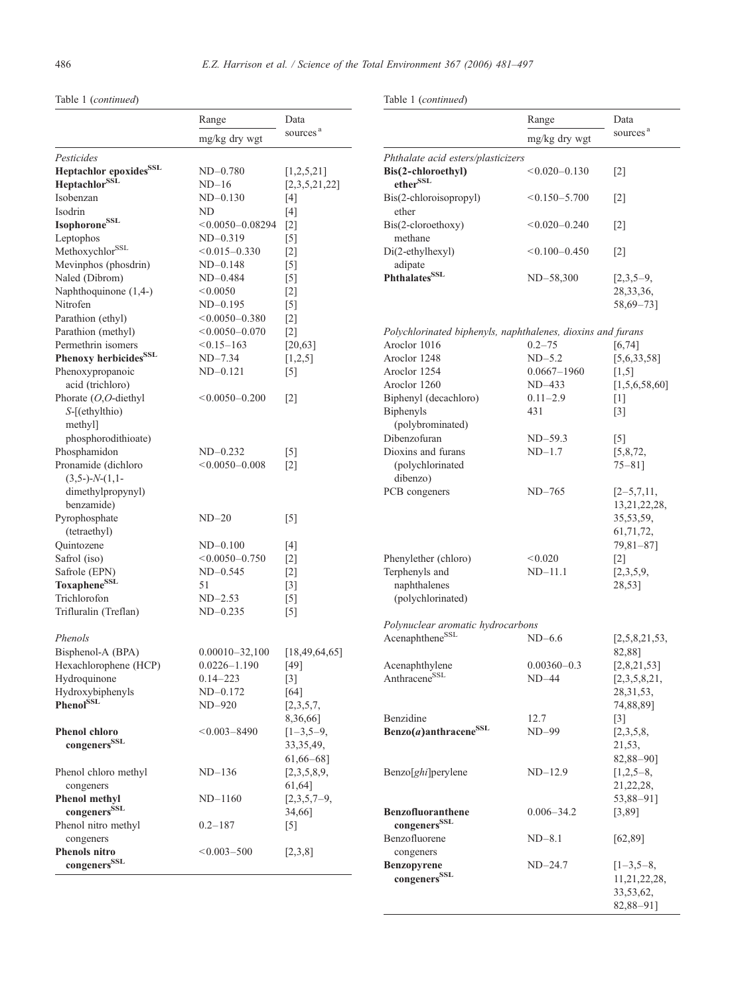#### Table 1 (continued)

Range Data sources<sup>a</sup> mg/kg dry wgt Pesticides Heptachlor epoxides<sup>SSL</sup> ND-0.780 [1,2,5,21] Heptachlor<sup>SSL</sup>  $ND-16$  [2,3,5,21,22] Isobenzan ND–0.130 [4] Isodrin ND [4]  $Isophorone<sup>SSL</sup> < 0.0050-0.08294$  [2] Leptophos  $ND-0.319$  [5] Methoxychlor<sup>SSL</sup>  $< 0.015 - 0.330$  [2] Mevinphos (phosdrin) ND–0.148 [5] Naled (Dibrom)  $ND-0.484$  [5] Naphthoquinone  $(1,4-)$   $\leq 0.0050$  [2] Nitrofen ND–0.195 [5] Parathion (ethyl)  $< 0.0050 - 0.380$  [2] Parathion (methyl)  $< 0.0050 - 0.070$  [2] Permethrin isomers  $\leq 0.15-163$  [20,63] **Phenoxy herbicides**<sup>SSL</sup>  $ND-7.34$  [1,2,5] Phenoxypropanoic acid (trichloro) ND–0.121 [5] Phorate (O,O-diethyl S-[(ethylthio) methyl] phosphorodithioate)  $< 0.0050 - 0.200$  [2] Phosphamidon  $ND-0.232$  [5] Pronamide (dichloro  $(3,5-)-N-(1,1$ dimethylpropynyl) benzamide)  $< 0.0050 - 0.008$  [2] Pyrophosphate (tetraethyl) ND–20 [5] Quintozene ND-0.100 [4]<br>Safrol (iso) <0.0050-0.750 [2]  $< 0.0050 - 0.750$  [2] Safrole (EPN)  $ND-0.545$  [2] Toxaphene<sup>SSL</sup> 51 [3] Trichlorofon  $ND-2.53$  [5] Trifluralin (Treflan)  $ND-0.235$  [5] Phenols Bisphenol-A (BPA) 0.00010-32,100 [18,49,64,65] Hexachlorophene (HCP)  $0.0226-1.190$  [49]<br>Hydroquinone  $0.14-223$  [3] Hydroquinone 0.14–223 [3] Hydroxybiphenyls ND–0.172 [64] **Phenol<sup>SSL</sup>**  $ND-920$  [2,3,5,7, 8,36,66] Phenol chloro  $\,$  congeners  $^{\rm SSL}$  $< 0.003 - 8490$  [1-3,5-9, 33,35,49, 61,66–68] Phenol chloro methyl congeners ND–136 [2,3,5,8,9, 61,64] Phenol methyl congenersSSL ND–1160 [2,3,5,7–9, 34,66] Phenol nitro methyl congeners  $0.2 - 187$  [5] Phenols nitro  $congeners^{\text{SSL}}$  $\leq 0.003 - 500$  [2,3,8]

Table 1 (continued)

|                                                             | Range                      | Data                                                                                                 |
|-------------------------------------------------------------|----------------------------|------------------------------------------------------------------------------------------------------|
|                                                             | mg/kg dry wgt              | sources <sup>a</sup>                                                                                 |
| Phthalate acid esters/plasticizers                          |                            |                                                                                                      |
| Bis(2-chloroethyl)<br>ether <sup>SSL</sup>                  | $<$ 0.020 $-$ 0.130        | $\lceil 2 \rceil$                                                                                    |
| Bis(2-chloroisopropyl)<br>ether                             | $< 0.150 - 5.700$          | $\lceil 2 \rceil$                                                                                    |
| Bis(2-cloroethoxy)<br>methane                               | $< 0.020 - 0.240$          | $\lceil 2 \rceil$                                                                                    |
| Di(2-ethylhexyl)<br>adipate                                 | $< 0.100 - 0.450$          | $\lceil 2 \rceil$                                                                                    |
| Phthalates <sup>SSL</sup>                                   | ND-58,300                  | $[2,3,5-9,$<br>28, 33, 36,<br>58,69-73]                                                              |
| Polychlorinated biphenyls, naphthalenes, dioxins and furans |                            |                                                                                                      |
| Aroclor 1016                                                | $0.2 - 75$                 | [6, 74]                                                                                              |
| Aroclor 1248                                                | $ND-5.2$                   | [5,6,33,58]                                                                                          |
| Aroclor 1254                                                | 0.0667–1960                | [1,5]                                                                                                |
| Aroclor 1260                                                | $ND-433$                   | [1,5,6,58,60]                                                                                        |
| Biphenyl (decachloro)                                       | $0.11 - 2.9$               | $\lceil 1 \rceil$                                                                                    |
| <b>Biphenyls</b>                                            | 431                        | $\lceil 3 \rceil$                                                                                    |
| (polybrominated)                                            |                            |                                                                                                      |
| Dibenzofuran                                                | ND-59.3                    | [5]                                                                                                  |
| Dioxins and furans                                          | $ND-1.7$                   | [5,8,72,                                                                                             |
| (polychlorinated<br>dibenzo)                                |                            | $75 - 81$ ]                                                                                          |
| PCB congeners                                               | $ND-765$                   | $[2-5,7,11,$                                                                                         |
| Phenylether (chloro)<br>Terphenyls and<br>naphthalenes      | < 0.020<br>$ND-11.1$       | 13, 21, 22, 28,<br>35,53,59,<br>61, 71, 72,<br>79,81-87]<br>$\lceil 2 \rceil$<br>[2,3,5,9,<br>28,53] |
| (polychlorinated)                                           |                            |                                                                                                      |
|                                                             |                            |                                                                                                      |
| Polynuclear aromatic hydrocarbons                           |                            |                                                                                                      |
| Acenaphthene <sup>SSL</sup>                                 | $ND-6.6$                   | [2,5,8,21,53,                                                                                        |
|                                                             |                            | 82,88]                                                                                               |
| Acenaphthylene<br>Anthracene <sup>SSL</sup>                 | $0.00360 - 0.3$<br>$ND-44$ | [2,8,21,53]                                                                                          |
|                                                             |                            | [2,3,5,8,21,<br>28, 31, 53,<br>74,88,89]                                                             |
| Benzidine                                                   | 12.7                       | $\lceil 3 \rceil$                                                                                    |
| Benzo(a)anthracene <sup>SSL</sup>                           | ND-99                      | [2,3,5,8,                                                                                            |
|                                                             |                            | 21,53,                                                                                               |
|                                                             |                            | 82,88-90]                                                                                            |
| Benzo[ghi]perylene                                          | $ND-12.9$                  | $[1,2,5-8,$                                                                                          |
|                                                             |                            | 21,22,28,                                                                                            |
|                                                             |                            | 53,88-91]                                                                                            |
| <b>Benzofluoranthene</b><br>congeners <sup>SSL</sup>        | $0.006 - 34.2$             | [3,89]                                                                                               |
| Benzofluorene                                               | $ND-8.1$                   | [62, 89]                                                                                             |
| congeners                                                   |                            |                                                                                                      |
| <b>Benzopyrene</b>                                          | $ND-24.7$                  | $[1-3,5-8,$                                                                                          |
| congeners <sup>SSL</sup>                                    |                            | 11,21,22,28,<br>33,53,62,<br>82,88-911                                                               |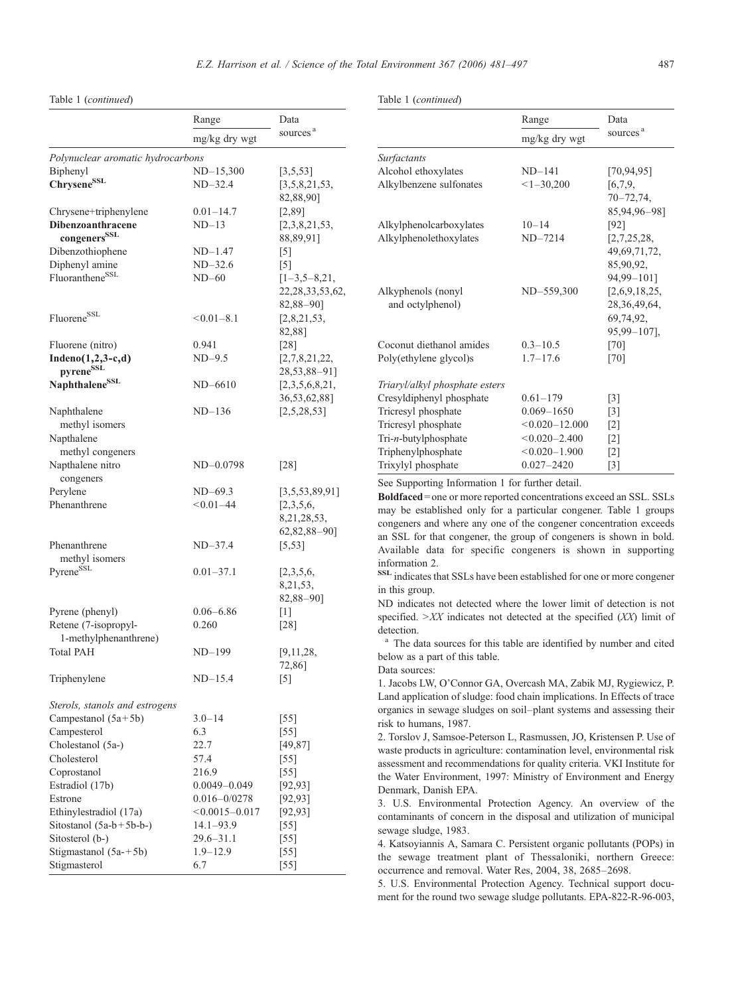Table 1 (continued)

Range Data sources<sup>a</sup> mg/kg dry wgt Polynuclear aromatic hydrocarbons  $Bipheny$   $ND-15,300$   $[3,5,53]$ Chrysene<sup>SSL</sup>  $ND-32.4$  [3,5,8,21,53, 82,88,90]  $Chrysenettriphenylene$   $0.01-14.7$   $[2,89]$ Dibenzoanthracene congeners<sup>SSL</sup> ND–13 [2,3,8,21,53, 88,89,91] Dibenzothiophene  $ND-1.47$  [5] Diphenyl amine  $ND-32.6$  [5] Fluoranthene<sup>SSL</sup>  $ND-60$  [1–3,5–8,21, 22,28,33,53,62, 82,88–90] Fluorene<sup>SSL</sup>  $< 0.01 - 8.1$  [2,8,21,53,] 82,88] Fluorene (nitro) 0.941 [28] Indeno(1,2,3-c,d) pyrene<sup>SSL</sup> ND–9.5 [2,7,8,21,22,] 28,53,88–91] Naphthalene<sup>SSL</sup> ND–6610 [2,3,5,6,8,21,] 36,53,62,88] Naphthalene methyl isomers ND–136 [2,5,28,53] Napthalene methyl congeners Napthalene nitro congeners ND-0.0798 [28] Perylene ND–69.3 [3,5,53,89,91] Phenanthrene  $< 0.01-44$  [2,3,5,6, 8,21,28,53, 62,82,88–90] Phenanthrene methyl isomers ND–37.4 [5,53] Pyrene<sup>SSL</sup>  $0.01-37.1$  [2,3,5,6, 8,21,53, 82,88–90] Pyrene (phenyl) 0.06–6.86 [1] Retene (7-isopropyl-1-methylphenanthrene) 0.260 [28] Total PAH  $ND-199$  [9,11,28, 72,86] Triphenylene  $ND-15.4$  [5] Sterols, stanols and estrogens Campestanol  $(5a+5b)$  3.0–14 [55] Campesterol 6.3 [55] Cholestanol (5a-) 22.7 [49,87] Cholesterol 57.4 [55] Coprostanol 216.9 [55] Estradiol (17b) 0.0049–0.049 [92,93] Estrone 0.016–0/0278 [92,93] Ethinylestradiol (17a)  $< 0.0015 - 0.017$  [92,93] Sitostanol (5a-b+5b-b-) 14.1–93.9 [55] Sitosterol (b-) 29.6–31.1 [55] Stigmastanol  $(5a + 5b)$  1.9–12.9 [55] Stigmasterol 6.7 [55]

Table 1 (continued)

|                                | Range              | Data                 |  |
|--------------------------------|--------------------|----------------------|--|
|                                | mg/kg dry wgt      | sources <sup>a</sup> |  |
| <b>Surfactants</b>             |                    |                      |  |
| Alcohol ethoxylates            | $ND-141$           | [70, 94, 95]         |  |
| Alkylbenzene sulfonates        | $<1-30,200$        | [6,7,9,              |  |
|                                |                    | $70 - 72,74,$        |  |
|                                |                    | 85,94,96-98]         |  |
| Alkylphenolcarboxylates        | $10 - 14$          | [92]                 |  |
| Alkylphenolethoxylates         | $ND-7214$          | [2,7,25,28,          |  |
|                                |                    | 49,69,71,72,         |  |
|                                |                    | 85,90,92,            |  |
|                                |                    | 94.99-1011           |  |
| Alkyphenols (nonyl             | ND-559,300         | [2,6,9,18,25,        |  |
| and octylphenol)               |                    | 28, 36, 49, 64,      |  |
|                                |                    | 69,74,92,            |  |
|                                |                    | 95,99-107],          |  |
| Coconut diethanol amides       | $0.3 - 10.5$       | [70]                 |  |
| Poly(ethylene glycol)s         | $1.7 - 17.6$       | $[70]$               |  |
| Triaryl/alkyl phosphate esters |                    |                      |  |
| Cresyldiphenyl phosphate       | $0.61 - 179$       | $\lceil 3 \rceil$    |  |
| Tricresyl phosphate            | $0.069 - 1650$     | $\lceil 3 \rceil$    |  |
| Tricresyl phosphate            | $< 0.020 - 12.000$ | $\lceil 2 \rceil$    |  |
| Tri-n-butylphosphate           | $< 0.020 - 2.400$  | $\lceil 2 \rceil$    |  |
| Triphenylphosphate             | $< 0.020 - 1.900$  | $[2]$                |  |
| Trixylyl phosphate             | $0.027 - 2420$     | $\lceil 3 \rceil$    |  |

See Supporting Information 1 for further detail.

Boldfaced= one or more reported concentrations exceed an SSL. SSLs may be established only for a particular congener. Table 1 groups congeners and where any one of the congener concentration exceeds an SSL for that congener, the group of congeners is shown in bold. Available data for specific congeners is shown in supporting information 2.

SSL indicates that SSLs have been established for one or more congener in this group.

ND indicates not detected where the lower limit of detection is not specified.  $\geq$ XX indicates not detected at the specified (XX) limit of detection.

<sup>a</sup> The data sources for this table are identified by number and cited below as a part of this table.

Data sources:

1. Jacobs LW, O'Connor GA, Overcash MA, Zabik MJ, Rygiewicz, P. Land application of sludge: food chain implications. In Effects of trace organics in sewage sludges on soil–plant systems and assessing their risk to humans, 1987.

2. Torslov J, Samsoe-Peterson L, Rasmussen, JO, Kristensen P. Use of waste products in agriculture: contamination level, environmental risk assessment and recommendations for quality criteria. VKI Institute for the Water Environment, 1997: Ministry of Environment and Energy Denmark, Danish EPA.

3. U.S. Environmental Protection Agency. An overview of the contaminants of concern in the disposal and utilization of municipal sewage sludge, 1983.

4. Katsoyiannis A, Samara C. Persistent organic pollutants (POPs) in the sewage treatment plant of Thessaloniki, northern Greece: occurrence and removal. Water Res, 2004, 38, 2685–2698.

5. U.S. Environmental Protection Agency. Technical support document for the round two sewage sludge pollutants. EPA-822-R-96-003,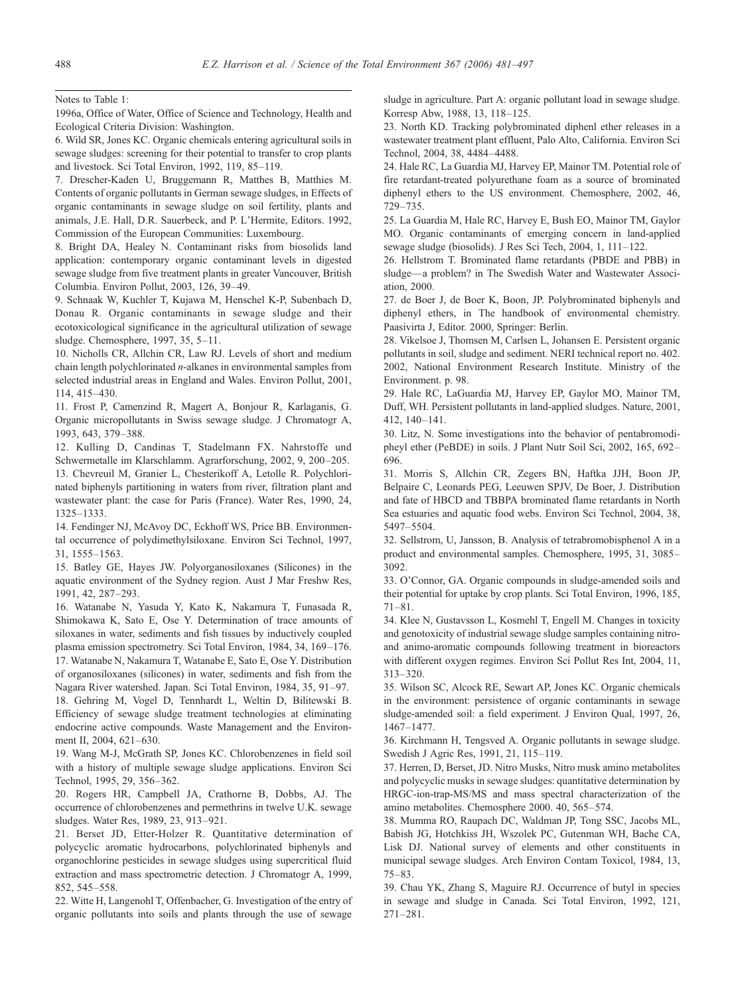1996a, Office of Water, Office of Science and Technology, Health and Ecological Criteria Division: Washington.

6. Wild SR, Jones KC. Organic chemicals entering agricultural soils in sewage sludges: screening for their potential to transfer to crop plants and livestock. Sci Total Environ, 1992, 119, 85–119.

7. Drescher-Kaden U, Bruggemann R, Matthes B, Matthies M. Contents of organic pollutants in German sewage sludges, in Effects of organic contaminants in sewage sludge on soil fertility, plants and animals, J.E. Hall, D.R. Sauerbeck, and P. L'Hermite, Editors. 1992, Commission of the European Communities: Luxembourg.

8. Bright DA, Healey N. Contaminant risks from biosolids land application: contemporary organic contaminant levels in digested sewage sludge from five treatment plants in greater Vancouver, British Columbia. Environ Pollut, 2003, 126, 39–49.

9. Schnaak W, Kuchler T, Kujawa M, Henschel K-P, Subenbach D, Donau R. Organic contaminants in sewage sludge and their ecotoxicological significance in the agricultural utilization of sewage sludge. Chemosphere, 1997, 35, 5–11.

10. Nicholls CR, Allchin CR, Law RJ. Levels of short and medium chain length polychlorinated n-alkanes in environmental samples from selected industrial areas in England and Wales. Environ Pollut, 2001, 114, 415–430.

11. Frost P, Camenzind R, Magert A, Bonjour R, Karlaganis, G. Organic micropollutants in Swiss sewage sludge. J Chromatogr A, 1993, 643, 379–388.

12. Kulling D, Candinas T, Stadelmann FX. Nahrstoffe und Schwermetalle im Klarschlamm. Agrarforschung, 2002, 9, 200–205. 13. Chevreuil M, Granier L, Chesterikoff A, Letolle R. Polychlorinated biphenyls partitioning in waters from river, filtration plant and wastewater plant: the case for Paris (France). Water Res, 1990, 24, 1325–1333.

14. Fendinger NJ, McAvoy DC, Eckhoff WS, Price BB. Environmental occurrence of polydimethylsiloxane. Environ Sci Technol, 1997, 31, 1555–1563.

15. Batley GE, Hayes JW. Polyorganosiloxanes (Silicones) in the aquatic environment of the Sydney region. Aust J Mar Freshw Res, 1991, 42, 287–293.

16. Watanabe N, Yasuda Y, Kato K, Nakamura T, Funasada R, Shimokawa K, Sato E, Ose Y. Determination of trace amounts of siloxanes in water, sediments and fish tissues by inductively coupled plasma emission spectrometry. Sci Total Environ, 1984, 34, 169–176. 17. Watanabe N, Nakamura T, Watanabe E, Sato E, Ose Y. Distribution of organosiloxanes (silicones) in water, sediments and fish from the Nagara River watershed. Japan. Sci Total Environ, 1984, 35, 91–97.

18. Gehring M, Vogel D, Tennhardt L, Weltin D, Bilitewski B. Efficiency of sewage sludge treatment technologies at eliminating endocrine active compounds. Waste Management and the Environment II, 2004, 621–630.

19. Wang M-J, McGrath SP, Jones KC. Chlorobenzenes in field soil with a history of multiple sewage sludge applications. Environ Sci Technol, 1995, 29, 356–362.

20. Rogers HR, Campbell JA, Crathorne B, Dobbs, AJ. The occurrence of chlorobenzenes and permethrins in twelve U.K. sewage sludges. Water Res, 1989, 23, 913–921.

21. Berset JD, Etter-Holzer R. Quantitative determination of polycyclic aromatic hydrocarbons, polychlorinated biphenyls and organochlorine pesticides in sewage sludges using supercritical fluid extraction and mass spectrometric detection. J Chromatogr A, 1999, 852, 545–558.

22. Witte H, Langenohl T, Offenbacher, G. Investigation of the entry of organic pollutants into soils and plants through the use of sewage

Notes to Table 1: sludge in agriculture. Part A: organic pollutant load in sewage sludge. Korresp Abw, 1988, 13, 118–125.

> 23. North KD. Tracking polybrominated diphenl ether releases in a wastewater treatment plant effluent, Palo Alto, California. Environ Sci Technol, 2004, 38, 4484–4488.

> 24. Hale RC, La Guardia MJ, Harvey EP, Mainor TM. Potential role of fire retardant-treated polyurethane foam as a source of brominated diphenyl ethers to the US environment. Chemosphere, 2002, 46, 729–735.

> 25. La Guardia M, Hale RC, Harvey E, Bush EO, Mainor TM, Gaylor MO. Organic contaminants of emerging concern in land-applied sewage sludge (biosolids). J Res Sci Tech, 2004, 1, 111–122.

> 26. Hellstrom T. Brominated flame retardants (PBDE and PBB) in sludge—a problem? in The Swedish Water and Wastewater Association, 2000.

> 27. de Boer J, de Boer K, Boon, JP. Polybrominated biphenyls and diphenyl ethers, in The handbook of environmental chemistry. Paasivirta J, Editor. 2000, Springer: Berlin.

> 28. Vikelsoe J, Thomsen M, Carlsen L, Johansen E. Persistent organic pollutants in soil, sludge and sediment. NERI technical report no. 402. 2002, National Environment Research Institute. Ministry of the Environment. p. 98.

> 29. Hale RC, LaGuardia MJ, Harvey EP, Gaylor MO, Mainor TM, Duff, WH. Persistent pollutants in land-applied sludges. Nature, 2001, 412, 140–141.

> 30. Litz, N. Some investigations into the behavior of pentabromodipheyl ether (PeBDE) in soils. J Plant Nutr Soil Sci, 2002, 165, 692– 696.

> 31. Morris S, Allchin CR, Zegers BN, Haftka JJH, Boon JP, Belpaire C, Leonards PEG, Leeuwen SPJV, De Boer, J. Distribution and fate of HBCD and TBBPA brominated flame retardants in North Sea estuaries and aquatic food webs. Environ Sci Technol, 2004, 38, 5497–5504.

> 32. Sellstrom, U, Jansson, B. Analysis of tetrabromobisphenol A in a product and environmental samples. Chemosphere, 1995, 31, 3085– 3092.

> 33. O'Connor, GA. Organic compounds in sludge-amended soils and their potential for uptake by crop plants. Sci Total Environ, 1996, 185, 71–81.

> 34. Klee N, Gustavsson L, Kosmehl T, Engell M. Changes in toxicity and genotoxicity of industrial sewage sludge samples containing nitroand animo-aromatic compounds following treatment in bioreactors with different oxygen regimes. Environ Sci Pollut Res Int, 2004, 11, 313–320.

> 35. Wilson SC, Alcock RE, Sewart AP, Jones KC. Organic chemicals in the environment: persistence of organic contaminants in sewage sludge-amended soil: a field experiment. J Environ Qual, 1997, 26, 1467–1477.

> 36. Kirchmann H, Tengsved A. Organic pollutants in sewage sludge. Swedish J Agric Res, 1991, 21, 115–119.

> 37. Herren, D, Berset, JD. Nitro Musks, Nitro musk amino metabolites and polycyclic musks in sewage sludges: quantitative determination by HRGC-ion-trap-MS/MS and mass spectral characterization of the amino metabolites. Chemosphere 2000. 40, 565–574.

> 38. Mumma RO, Raupach DC, Waldman JP, Tong SSC, Jacobs ML, Babish JG, Hotchkiss JH, Wszolek PC, Gutenman WH, Bache CA, Lisk DJ. National survey of elements and other constituents in municipal sewage sludges. Arch Environ Contam Toxicol, 1984, 13, 75–83.

> 39. Chau YK, Zhang S, Maguire RJ. Occurrence of butyl in species in sewage and sludge in Canada. Sci Total Environ, 1992, 121, 271–281.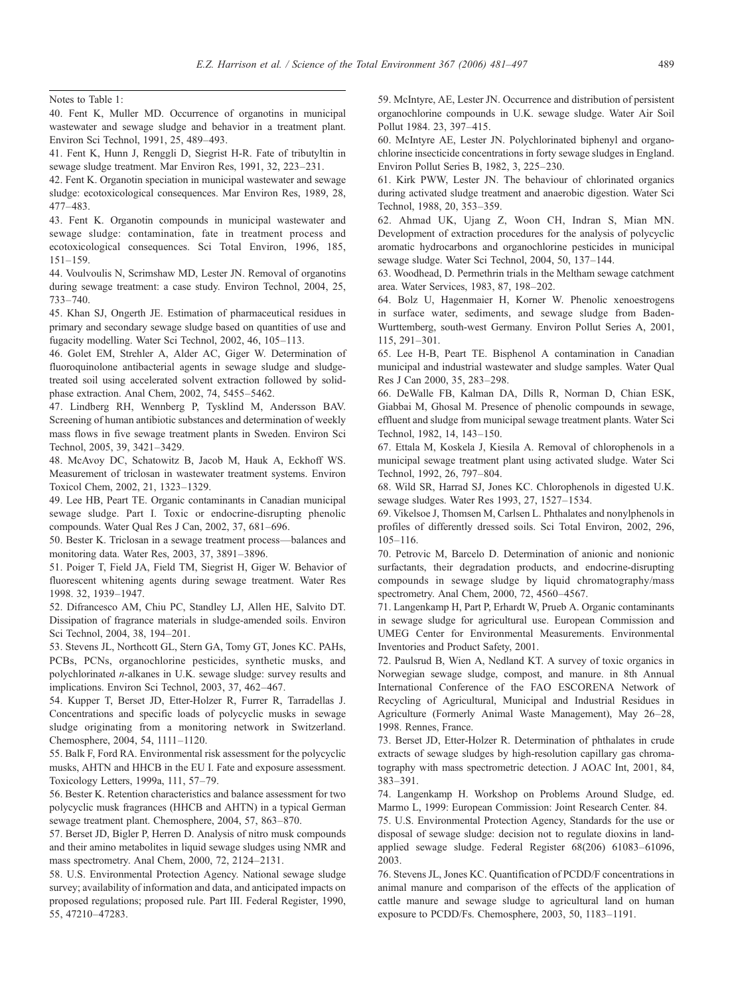Notes to Table 1:

41. Fent K, Hunn J, Renggli D, Siegrist H-R. Fate of tributyltin in sewage sludge treatment. Mar Environ Res, 1991, 32, 223–231.

42. Fent K. Organotin speciation in municipal wastewater and sewage sludge: ecotoxicological consequences. Mar Environ Res, 1989, 28, 477–483.

43. Fent K. Organotin compounds in municipal wastewater and sewage sludge: contamination, fate in treatment process and ecotoxicological consequences. Sci Total Environ, 1996, 185, 151–159.

44. Voulvoulis N, Scrimshaw MD, Lester JN. Removal of organotins during sewage treatment: a case study. Environ Technol, 2004, 25, 733–740.

45. Khan SJ, Ongerth JE. Estimation of pharmaceutical residues in primary and secondary sewage sludge based on quantities of use and fugacity modelling. Water Sci Technol, 2002, 46, 105–113.

46. Golet EM, Strehler A, Alder AC, Giger W. Determination of fluoroquinolone antibacterial agents in sewage sludge and sludgetreated soil using accelerated solvent extraction followed by solidphase extraction. Anal Chem, 2002, 74, 5455–5462.

47. Lindberg RH, Wennberg P, Tysklind M, Andersson BAV. Screening of human antibiotic substances and determination of weekly mass flows in five sewage treatment plants in Sweden. Environ Sci Technol, 2005, 39, 3421–3429.

48. McAvoy DC, Schatowitz B, Jacob M, Hauk A, Eckhoff WS. Measurement of triclosan in wastewater treatment systems. Environ Toxicol Chem, 2002, 21, 1323–1329.

49. Lee HB, Peart TE. Organic contaminants in Canadian municipal sewage sludge. Part I. Toxic or endocrine-disrupting phenolic compounds. Water Qual Res J Can, 2002, 37, 681–696.

50. Bester K. Triclosan in a sewage treatment process—balances and monitoring data. Water Res, 2003, 37, 3891–3896.

51. Poiger T, Field JA, Field TM, Siegrist H, Giger W. Behavior of fluorescent whitening agents during sewage treatment. Water Res 1998. 32, 1939–1947.

52. Difrancesco AM, Chiu PC, Standley LJ, Allen HE, Salvito DT. Dissipation of fragrance materials in sludge-amended soils. Environ Sci Technol, 2004, 38, 194–201.

53. Stevens JL, Northcott GL, Stern GA, Tomy GT, Jones KC. PAHs, PCBs, PCNs, organochlorine pesticides, synthetic musks, and polychlorinated n-alkanes in U.K. sewage sludge: survey results and implications. Environ Sci Technol, 2003, 37, 462–467.

54. Kupper T, Berset JD, Etter-Holzer R, Furrer R, Tarradellas J. Concentrations and specific loads of polycyclic musks in sewage sludge originating from a monitoring network in Switzerland. Chemosphere, 2004, 54, 1111–1120.

55. Balk F, Ford RA. Environmental risk assessment for the polycyclic musks, AHTN and HHCB in the EU I. Fate and exposure assessment. Toxicology Letters, 1999a, 111, 57–79.

56. Bester K. Retention characteristics and balance assessment for two polycyclic musk fragrances (HHCB and AHTN) in a typical German sewage treatment plant. Chemosphere, 2004, 57, 863–870.

57. Berset JD, Bigler P, Herren D. Analysis of nitro musk compounds and their amino metabolites in liquid sewage sludges using NMR and mass spectrometry. Anal Chem, 2000, 72, 2124–2131.

58. U.S. Environmental Protection Agency. National sewage sludge survey; availability of information and data, and anticipated impacts on proposed regulations; proposed rule. Part III. Federal Register, 1990, 55, 47210–47283.

59. McIntyre, AE, Lester JN. Occurrence and distribution of persistent organochlorine compounds in U.K. sewage sludge. Water Air Soil Pollut 1984. 23, 397–415.

60. McIntyre AE, Lester JN. Polychlorinated biphenyl and organochlorine insecticide concentrations in forty sewage sludges in England. Environ Pollut Series B, 1982, 3, 225–230.

61. Kirk PWW, Lester JN. The behaviour of chlorinated organics during activated sludge treatment and anaerobic digestion. Water Sci Technol, 1988, 20, 353–359.

62. Ahmad UK, Ujang Z, Woon CH, Indran S, Mian MN. Development of extraction procedures for the analysis of polycyclic aromatic hydrocarbons and organochlorine pesticides in municipal sewage sludge. Water Sci Technol, 2004, 50, 137–144.

63. Woodhead, D. Permethrin trials in the Meltham sewage catchment area. Water Services, 1983, 87, 198–202.

64. Bolz U, Hagenmaier H, Korner W. Phenolic xenoestrogens in surface water, sediments, and sewage sludge from Baden-Wurttemberg, south-west Germany. Environ Pollut Series A, 2001, 115, 291–301.

65. Lee H-B, Peart TE. Bisphenol A contamination in Canadian municipal and industrial wastewater and sludge samples. Water Qual Res J Can 2000, 35, 283–298.

66. DeWalle FB, Kalman DA, Dills R, Norman D, Chian ESK, Giabbai M, Ghosal M. Presence of phenolic compounds in sewage, effluent and sludge from municipal sewage treatment plants. Water Sci Technol, 1982, 14, 143–150.

67. Ettala M, Koskela J, Kiesila A. Removal of chlorophenols in a municipal sewage treatment plant using activated sludge. Water Sci Technol, 1992, 26, 797–804.

68. Wild SR, Harrad SJ, Jones KC. Chlorophenols in digested U.K. sewage sludges. Water Res 1993, 27, 1527–1534.

69. Vikelsoe J, Thomsen M, Carlsen L. Phthalates and nonylphenols in profiles of differently dressed soils. Sci Total Environ, 2002, 296, 105–116.

70. Petrovic M, Barcelo D. Determination of anionic and nonionic surfactants, their degradation products, and endocrine-disrupting compounds in sewage sludge by liquid chromatography/mass spectrometry. Anal Chem, 2000, 72, 4560–4567.

71. Langenkamp H, Part P, Erhardt W, Prueb A. Organic contaminants in sewage sludge for agricultural use. European Commission and UMEG Center for Environmental Measurements. Environmental Inventories and Product Safety, 2001.

72. Paulsrud B, Wien A, Nedland KT. A survey of toxic organics in Norwegian sewage sludge, compost, and manure. in 8th Annual International Conference of the FAO ESCORENA Network of Recycling of Agricultural, Municipal and Industrial Residues in Agriculture (Formerly Animal Waste Management), May 26–28, 1998. Rennes, France.

73. Berset JD, Etter-Holzer R. Determination of phthalates in crude extracts of sewage sludges by high-resolution capillary gas chromatography with mass spectrometric detection. J AOAC Int, 2001, 84, 383–391.

74. Langenkamp H. Workshop on Problems Around Sludge, ed. Marmo L, 1999: European Commission: Joint Research Center. 84.

75. U.S. Environmental Protection Agency, Standards for the use or disposal of sewage sludge: decision not to regulate dioxins in landapplied sewage sludge. Federal Register 68(206) 61083–61096, 2003.

76. Stevens JL, Jones KC. Quantification of PCDD/F concentrations in animal manure and comparison of the effects of the application of cattle manure and sewage sludge to agricultural land on human exposure to PCDD/Fs. Chemosphere, 2003, 50, 1183–1191.

<sup>40.</sup> Fent K, Muller MD. Occurrence of organotins in municipal wastewater and sewage sludge and behavior in a treatment plant. Environ Sci Technol, 1991, 25, 489–493.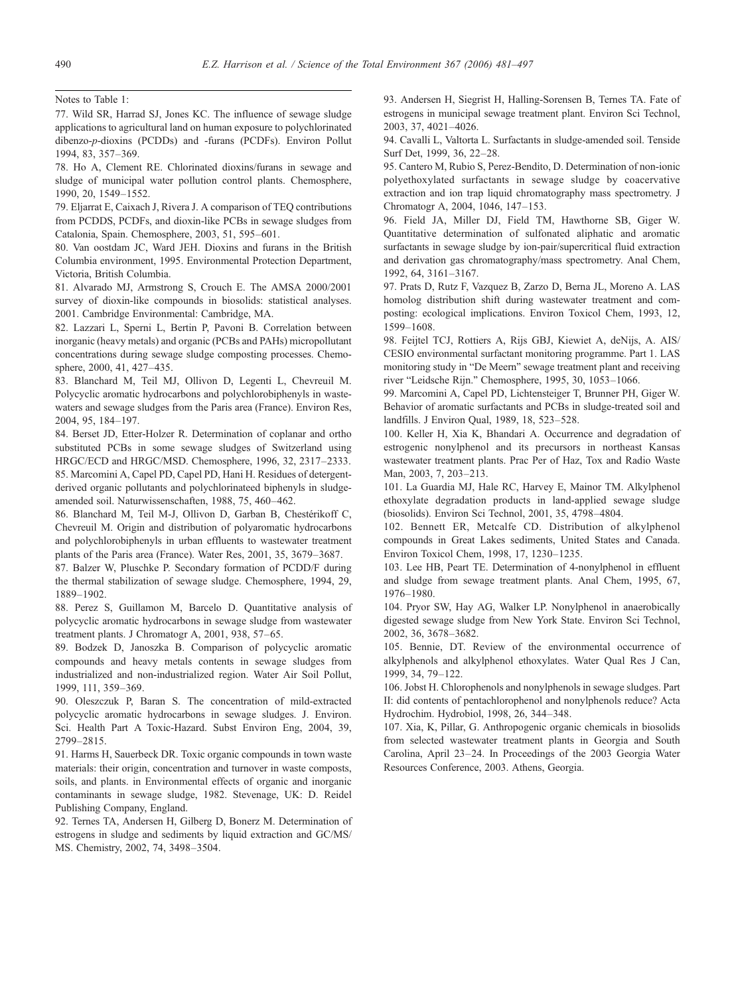77. Wild SR, Harrad SJ, Jones KC. The influence of sewage sludge applications to agricultural land on human exposure to polychlorinated dibenzo-p-dioxins (PCDDs) and -furans (PCDFs). Environ Pollut 1994, 83, 357–369.

78. Ho A, Clement RE. Chlorinated dioxins/furans in sewage and sludge of municipal water pollution control plants. Chemosphere, 1990, 20, 1549–1552.

79. Eljarrat E, Caixach J, Rivera J. A comparison of TEQ contributions from PCDDS, PCDFs, and dioxin-like PCBs in sewage sludges from Catalonia, Spain. Chemosphere, 2003, 51, 595–601.

80. Van oostdam JC, Ward JEH. Dioxins and furans in the British Columbia environment, 1995. Environmental Protection Department, Victoria, British Columbia.

81. Alvarado MJ, Armstrong S, Crouch E. The AMSA 2000/2001 survey of dioxin-like compounds in biosolids: statistical analyses. 2001. Cambridge Environmental: Cambridge, MA.

82. Lazzari L, Sperni L, Bertin P, Pavoni B. Correlation between inorganic (heavy metals) and organic (PCBs and PAHs) micropollutant concentrations during sewage sludge composting processes. Chemosphere, 2000, 41, 427–435.

83. Blanchard M, Teil MJ, Ollivon D, Legenti L, Chevreuil M. Polycyclic aromatic hydrocarbons and polychlorobiphenyls in wastewaters and sewage sludges from the Paris area (France). Environ Res, 2004, 95, 184–197.

84. Berset JD, Etter-Holzer R. Determination of coplanar and ortho substituted PCBs in some sewage sludges of Switzerland using HRGC/ECD and HRGC/MSD. Chemosphere, 1996, 32, 2317–2333. 85. Marcomini A, Capel PD, Capel PD, Hani H. Residues of detergentderived organic pollutants and polychlorinateed biphenyls in sludgeamended soil. Naturwissenschaften, 1988, 75, 460–462.

86. Blanchard M, Teil M-J, Ollivon D, Garban B, Chestérikoff C, Chevreuil M. Origin and distribution of polyaromatic hydrocarbons and polychlorobiphenyls in urban effluents to wastewater treatment plants of the Paris area (France). Water Res, 2001, 35, 3679–3687.

87. Balzer W, Pluschke P. Secondary formation of PCDD/F during the thermal stabilization of sewage sludge. Chemosphere, 1994, 29, 1889–1902.

88. Perez S, Guillamon M, Barcelo D. Quantitative analysis of polycyclic aromatic hydrocarbons in sewage sludge from wastewater treatment plants. J Chromatogr A, 2001, 938, 57–65.

89. Bodzek D, Janoszka B. Comparison of polycyclic aromatic compounds and heavy metals contents in sewage sludges from industrialized and non-industrialized region. Water Air Soil Pollut, 1999, 111, 359–369.

90. Oleszczuk P, Baran S. The concentration of mild-extracted polycyclic aromatic hydrocarbons in sewage sludges. J. Environ. Sci. Health Part A Toxic-Hazard. Subst Environ Eng, 2004, 39, 2799–2815.

91. Harms H, Sauerbeck DR. Toxic organic compounds in town waste materials: their origin, concentration and turnover in waste composts, soils, and plants. in Environmental effects of organic and inorganic contaminants in sewage sludge, 1982. Stevenage, UK: D. Reidel Publishing Company, England.

92. Ternes TA, Andersen H, Gilberg D, Bonerz M. Determination of estrogens in sludge and sediments by liquid extraction and GC/MS/ MS. Chemistry, 2002, 74, 3498–3504.

Notes to Table 1: 93. Andersen H, Siegrist H, Halling-Sorensen B, Ternes TA. Fate of estrogens in municipal sewage treatment plant. Environ Sci Technol, 2003, 37, 4021–4026.

> 94. Cavalli L, Valtorta L. Surfactants in sludge-amended soil. Tenside Surf Det, 1999, 36, 22–28.

> 95. Cantero M, Rubio S, Perez-Bendito, D. Determination of non-ionic polyethoxylated surfactants in sewage sludge by coacervative extraction and ion trap liquid chromatography mass spectrometry. J Chromatogr A, 2004, 1046, 147–153.

> 96. Field JA, Miller DJ, Field TM, Hawthorne SB, Giger W. Quantitative determination of sulfonated aliphatic and aromatic surfactants in sewage sludge by ion-pair/supercritical fluid extraction and derivation gas chromatography/mass spectrometry. Anal Chem, 1992, 64, 3161–3167.

> 97. Prats D, Rutz F, Vazquez B, Zarzo D, Berna JL, Moreno A. LAS homolog distribution shift during wastewater treatment and composting: ecological implications. Environ Toxicol Chem, 1993, 12, 1599–1608.

> 98. Feijtel TCJ, Rottiers A, Rijs GBJ, Kiewiet A, deNijs, A. AIS/ CESIO environmental surfactant monitoring programme. Part 1. LAS monitoring study in "De Meern" sewage treatment plant and receiving river "Leidsche Rijn." Chemosphere, 1995, 30, 1053–1066.

> 99. Marcomini A, Capel PD, Lichtensteiger T, Brunner PH, Giger W. Behavior of aromatic surfactants and PCBs in sludge-treated soil and landfills. J Environ Qual, 1989, 18, 523–528.

> 100. Keller H, Xia K, Bhandari A. Occurrence and degradation of estrogenic nonylphenol and its precursors in northeast Kansas wastewater treatment plants. Prac Per of Haz, Tox and Radio Waste Man, 2003, 7, 203–213.

> 101. La Guardia MJ, Hale RC, Harvey E, Mainor TM. Alkylphenol ethoxylate degradation products in land-applied sewage sludge (biosolids). Environ Sci Technol, 2001, 35, 4798–4804.

> 102. Bennett ER, Metcalfe CD. Distribution of alkylphenol compounds in Great Lakes sediments, United States and Canada. Environ Toxicol Chem, 1998, 17, 1230–1235.

> 103. Lee HB, Peart TE. Determination of 4-nonylphenol in effluent and sludge from sewage treatment plants. Anal Chem, 1995, 67, 1976–1980.

> 104. Pryor SW, Hay AG, Walker LP. Nonylphenol in anaerobically digested sewage sludge from New York State. Environ Sci Technol, 2002, 36, 3678–3682.

> 105. Bennie, DT. Review of the environmental occurrence of alkylphenols and alkylphenol ethoxylates. Water Qual Res J Can, 1999, 34, 79–122.

> 106. Jobst H. Chlorophenols and nonylphenols in sewage sludges. Part II: did contents of pentachlorophenol and nonylphenols reduce? Acta Hydrochim. Hydrobiol, 1998, 26, 344–348.

> 107. Xia, K, Pillar, G. Anthropogenic organic chemicals in biosolids from selected wastewater treatment plants in Georgia and South Carolina, April 23–24. In Proceedings of the 2003 Georgia Water Resources Conference, 2003. Athens, Georgia.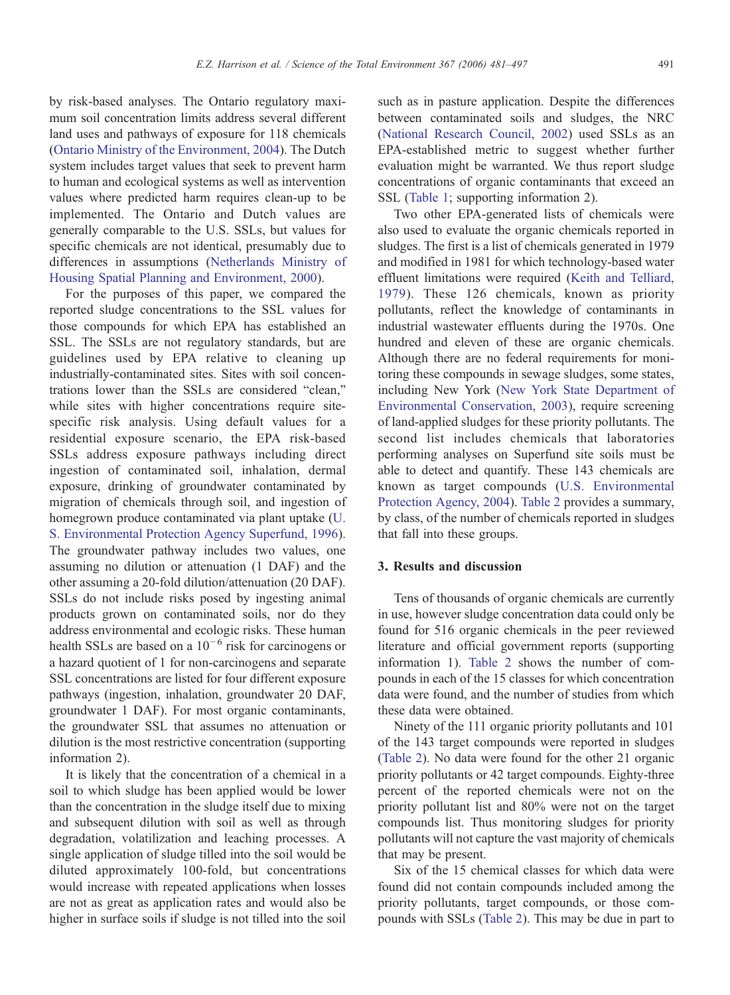by risk-based analyses. The Ontario regulatory maximum soil concentration limits address several different land uses and pathways of exposure for 118 chemicals [\(Ontario Ministry of the Environment, 2004\)](#page-16-0). The Dutch system includes target values that seek to prevent harm to human and ecological systems as well as intervention values where predicted harm requires clean-up to be implemented. The Ontario and Dutch values are generally comparable to the U.S. SSLs, but values for specific chemicals are not identical, presumably due to differences in assumptions ([Netherlands Ministry of](http://www2.minvrom.nl/Docs/internationaal/annexS_I2000.pdf) [Housing Spatial Planning and Environment, 2000\)](http://www2.minvrom.nl/Docs/internationaal/annexS_I2000.pdf).

For the purposes of this paper, we compared the reported sludge concentrations to the SSL values for those compounds for which EPA has established an SSL. The SSLs are not regulatory standards, but are guidelines used by EPA relative to cleaning up industrially-contaminated sites. Sites with soil concentrations lower than the SSLs are considered "clean," while sites with higher concentrations require sitespecific risk analysis. Using default values for a residential exposure scenario, the EPA risk-based SSLs address exposure pathways including direct ingestion of contaminated soil, inhalation, dermal exposure, drinking of groundwater contaminated by migration of chemicals through soil, and ingestion of homegrown produce contaminated via plant uptake [\(U.](#page-16-0) [S. Environmental Protection Agency Superfund, 1996](#page-16-0)). The groundwater pathway includes two values, one assuming no dilution or attenuation (1 DAF) and the other assuming a 20-fold dilution/attenuation (20 DAF). SSLs do not include risks posed by ingesting animal products grown on contaminated soils, nor do they address environmental and ecologic risks. These human health SSLs are based on a  $10^{-6}$  risk for carcinogens or a hazard quotient of 1 for non-carcinogens and separate SSL concentrations are listed for four different exposure pathways (ingestion, inhalation, groundwater 20 DAF, groundwater 1 DAF). For most organic contaminants, the groundwater SSL that assumes no attenuation or dilution is the most restrictive concentration (supporting information 2).

It is likely that the concentration of a chemical in a soil to which sludge has been applied would be lower than the concentration in the sludge itself due to mixing and subsequent dilution with soil as well as through degradation, volatilization and leaching processes. A single application of sludge tilled into the soil would be diluted approximately 100-fold, but concentrations would increase with repeated applications when losses are not as great as application rates and would also be higher in surface soils if sludge is not tilled into the soil

such as in pasture application. Despite the differences between contaminated soils and sludges, the NRC [\(National Research Council, 2002\)](#page-16-0) used SSLs as an EPA-established metric to suggest whether further evaluation might be warranted. We thus report sludge concentrations of organic contaminants that exceed an SSL [\(Table 1;](#page-3-0) supporting information 2).

Two other EPA-generated lists of chemicals were also used to evaluate the organic chemicals reported in sludges. The first is a list of chemicals generated in 1979 and modified in 1981 for which technology-based water effluent limitations were required ([Keith and Telliard,](#page-15-0) [1979](#page-15-0)). These 126 chemicals, known as priority pollutants, reflect the knowledge of contaminants in industrial wastewater effluents during the 1970s. One hundred and eleven of these are organic chemicals. Although there are no federal requirements for monitoring these compounds in sewage sludges, some states, including New York [\(New York State Department of](#page-16-0) [Environmental Conservation, 2003\)](#page-16-0), require screening of land-applied sludges for these priority pollutants. The second list includes chemicals that laboratories performing analyses on Superfund site soils must be able to detect and quantify. These 143 chemicals are known as target compounds ([U.S. Environmental](#page-16-0) [Protection Agency, 2004](#page-16-0)). [Table 2](#page-11-0) provides a summary, by class, of the number of chemicals reported in sludges that fall into these groups.

### 3. Results and discussion

Tens of thousands of organic chemicals are currently in use, however sludge concentration data could only be found for 516 organic chemicals in the peer reviewed literature and official government reports (supporting information 1). [Table 2](#page-11-0) shows the number of compounds in each of the 15 classes for which concentration data were found, and the number of studies from which these data were obtained.

Ninety of the 111 organic priority pollutants and 101 of the 143 target compounds were reported in sludges [\(Table 2](#page-11-0)). No data were found for the other 21 organic priority pollutants or 42 target compounds. Eighty-three percent of the reported chemicals were not on the priority pollutant list and 80% were not on the target compounds list. Thus monitoring sludges for priority pollutants will not capture the vast majority of chemicals that may be present.

Six of the 15 chemical classes for which data were found did not contain compounds included among the priority pollutants, target compounds, or those compounds with SSLs [\(Table 2\)](#page-11-0). This may be due in part to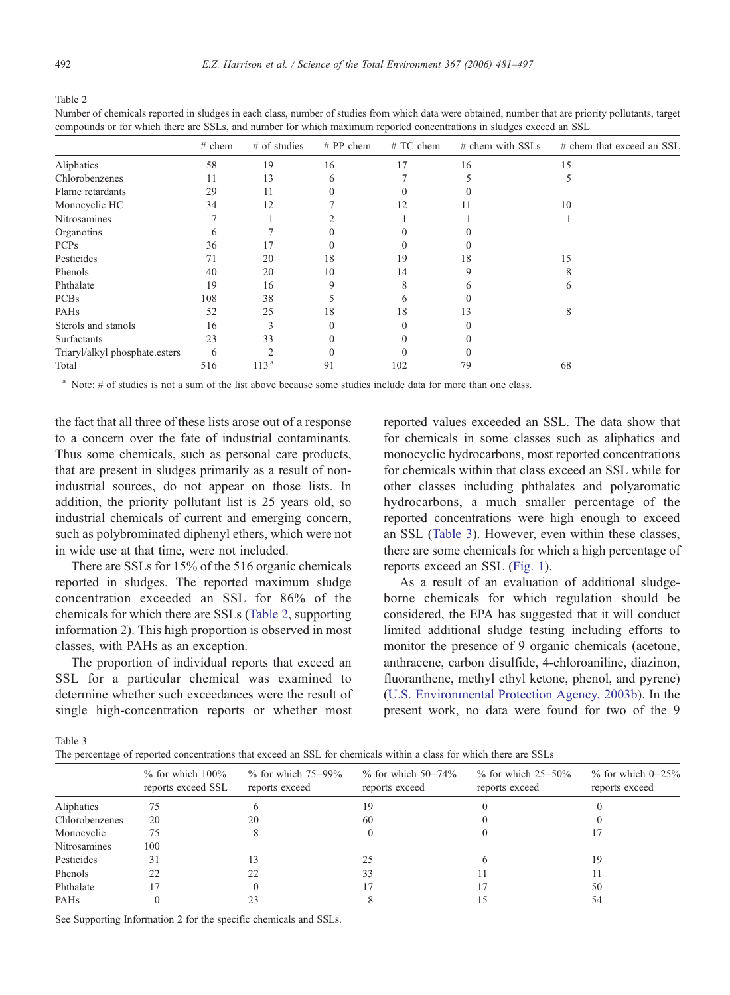<span id="page-11-0"></span>

Number of chemicals reported in sludges in each class, number of studies from which data were obtained, number that are priority pollutants, target compounds or for which there are SSLs, and number for which maximum reported concentrations in sludges exceed an SSL

|                                | $#$ chem | $#$ of studies   | $# PP$ chem | $#TC$ chem | # chem with SSLs | # chem that exceed an SSL |
|--------------------------------|----------|------------------|-------------|------------|------------------|---------------------------|
| Aliphatics                     | 58       | 19               | 16          | 17         | 16               | 15                        |
| Chlorobenzenes                 | 11       | 13               | 6           |            |                  | 5                         |
| Flame retardants               | 29       | 11               |             |            |                  |                           |
| Monocyclic HC                  | 34       | 12               |             | 12         |                  | 10                        |
| Nitrosamines                   |          |                  |             |            |                  |                           |
| Organotins                     | 6        |                  |             |            |                  |                           |
| <b>PCPs</b>                    | 36       | 17               |             |            |                  |                           |
| Pesticides                     | 71       | 20               | 18          | 19         | 18               | 15                        |
| Phenols                        | 40       | 20               | 10          | 14         | Q                |                           |
| Phthalate                      | 19       | 16               | 9           | 8          | h                | <sub>6</sub>              |
| <b>PCBs</b>                    | 108      | 38               |             |            |                  |                           |
| PAHs                           | 52       | 25               | 18          | 18         | 13               | 8                         |
| Sterols and stanols            | 16       | 3                |             |            |                  |                           |
| <b>Surfactants</b>             | 23       | 33               |             |            |                  |                           |
| Triaryl/alkyl phosphate.esters | 6        |                  |             |            |                  |                           |
| Total                          | 516      | 113 <sup>a</sup> | 91          | 102        | 79               | 68                        |

<sup>a</sup> Note: # of studies is not a sum of the list above because some studies include data for more than one class.

the fact that all three of these lists arose out of a response to a concern over the fate of industrial contaminants. Thus some chemicals, such as personal care products, that are present in sludges primarily as a result of nonindustrial sources, do not appear on those lists. In addition, the priority pollutant list is 25 years old, so industrial chemicals of current and emerging concern, such as polybrominated diphenyl ethers, which were not in wide use at that time, were not included.

There are SSLs for 15% of the 516 organic chemicals reported in sludges. The reported maximum sludge concentration exceeded an SSL for 86% of the chemicals for which there are SSLs (Table 2, supporting information 2). This high proportion is observed in most classes, with PAHs as an exception.

The proportion of individual reports that exceed an SSL for a particular chemical was examined to determine whether such exceedances were the result of single high-concentration reports or whether most

reported values exceeded an SSL. The data show that for chemicals in some classes such as aliphatics and monocyclic hydrocarbons, most reported concentrations for chemicals within that class exceed an SSL while for other classes including phthalates and polyaromatic hydrocarbons, a much smaller percentage of the reported concentrations were high enough to exceed an SSL (Table 3). However, even within these classes, there are some chemicals for which a high percentage of reports exceed an SSL ([Fig. 1](#page-12-0)).

As a result of an evaluation of additional sludgeborne chemicals for which regulation should be considered, the EPA has suggested that it will conduct limited additional sludge testing including efforts to monitor the presence of 9 organic chemicals (acetone, anthracene, carbon disulfide, 4-chloroaniline, diazinon, fluoranthene, methyl ethyl ketone, phenol, and pyrene) [\(U.S. Environmental Protection Agency, 2003b\)](#page-16-0). In the present work, no data were found for two of the 9

Table 3

|                | $%$ for which $100\%$<br>reports exceed SSL | $\%$ for which 75–99%<br>reports exceed | $\%$ for which 50–74%<br>reports exceed | $\%$ for which 25–50%<br>reports exceed | $\%$ for which 0-25%<br>reports exceed |
|----------------|---------------------------------------------|-----------------------------------------|-----------------------------------------|-----------------------------------------|----------------------------------------|
| Aliphatics     | 75                                          |                                         | 19                                      |                                         |                                        |
| Chlorobenzenes | 20                                          | 20                                      | 60                                      |                                         |                                        |
| Monocyclic     | 75                                          |                                         |                                         |                                         |                                        |
| Nitrosamines   | 100                                         |                                         |                                         |                                         |                                        |
| Pesticides     | 31                                          |                                         | 25                                      |                                         | 19                                     |
| Phenols        | 22                                          |                                         | 33                                      |                                         |                                        |
| Phthalate      |                                             |                                         |                                         |                                         | 50                                     |
| <b>PAHs</b>    |                                             |                                         |                                         |                                         | 54                                     |

See Supporting Information 2 for the specific chemicals and SSLs.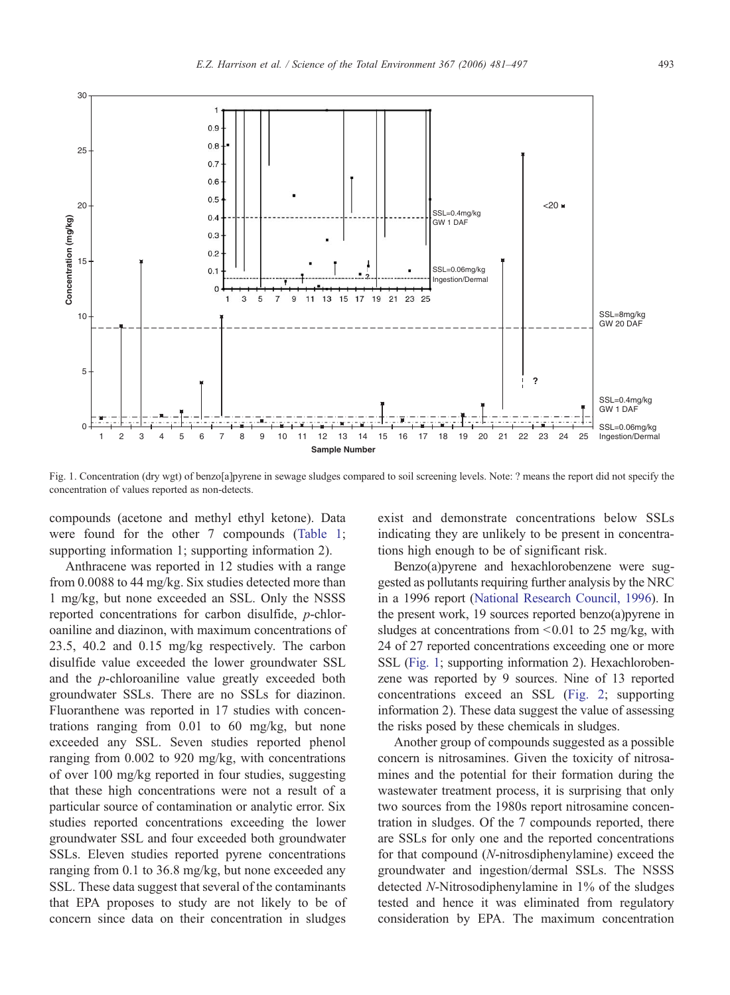<span id="page-12-0"></span>

Fig. 1. Concentration (dry wgt) of benzo[a]pyrene in sewage sludges compared to soil screening levels. Note: ? means the report did not specify the concentration of values reported as non-detects.

compounds (acetone and methyl ethyl ketone). Data were found for the other 7 compounds ([Table 1](#page-3-0); supporting information 1; supporting information 2).

Anthracene was reported in 12 studies with a range from 0.0088 to 44 mg/kg. Six studies detected more than 1 mg/kg, but none exceeded an SSL. Only the NSSS reported concentrations for carbon disulfide, p-chloroaniline and diazinon, with maximum concentrations of 23.5, 40.2 and 0.15 mg/kg respectively. The carbon disulfide value exceeded the lower groundwater SSL and the p-chloroaniline value greatly exceeded both groundwater SSLs. There are no SSLs for diazinon. Fluoranthene was reported in 17 studies with concentrations ranging from 0.01 to 60 mg/kg, but none exceeded any SSL. Seven studies reported phenol ranging from 0.002 to 920 mg/kg, with concentrations of over 100 mg/kg reported in four studies, suggesting that these high concentrations were not a result of a particular source of contamination or analytic error. Six studies reported concentrations exceeding the lower groundwater SSL and four exceeded both groundwater SSLs. Eleven studies reported pyrene concentrations ranging from 0.1 to 36.8 mg/kg, but none exceeded any SSL. These data suggest that several of the contaminants that EPA proposes to study are not likely to be of concern since data on their concentration in sludges

exist and demonstrate concentrations below SSLs indicating they are unlikely to be present in concentrations high enough to be of significant risk.

Benzo(a)pyrene and hexachlorobenzene were suggested as pollutants requiring further analysis by the NRC in a 1996 report ([National Research Council, 1996\)](#page-16-0). In the present work, 19 sources reported benzo(a)pyrene in sludges at concentrations from  $\leq 0.01$  to 25 mg/kg, with 24 of 27 reported concentrations exceeding one or more SSL (Fig. 1; supporting information 2). Hexachlorobenzene was reported by 9 sources. Nine of 13 reported concentrations exceed an SSL ([Fig. 2](#page-13-0); supporting information 2). These data suggest the value of assessing the risks posed by these chemicals in sludges.

Another group of compounds suggested as a possible concern is nitrosamines. Given the toxicity of nitrosamines and the potential for their formation during the wastewater treatment process, it is surprising that only two sources from the 1980s report nitrosamine concentration in sludges. Of the 7 compounds reported, there are SSLs for only one and the reported concentrations for that compound (N-nitrosdiphenylamine) exceed the groundwater and ingestion/dermal SSLs. The NSSS detected N-Nitrosodiphenylamine in 1% of the sludges tested and hence it was eliminated from regulatory consideration by EPA. The maximum concentration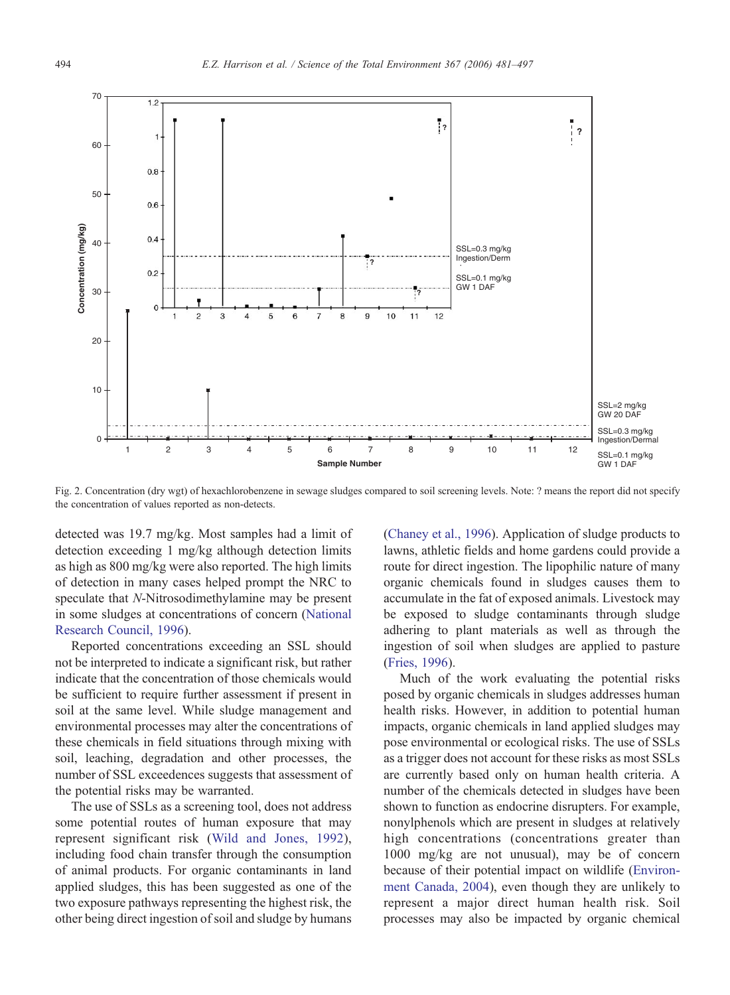<span id="page-13-0"></span>

Fig. 2. Concentration (dry wgt) of hexachlorobenzene in sewage sludges compared to soil screening levels. Note: ? means the report did not specify the concentration of values reported as non-detects.

detected was 19.7 mg/kg. Most samples had a limit of detection exceeding 1 mg/kg although detection limits as high as 800 mg/kg were also reported. The high limits of detection in many cases helped prompt the NRC to speculate that N-Nitrosodimethylamine may be present in some sludges at concentrations of concern [\(National](#page-16-0) [Research Council, 1996](#page-16-0)).

Reported concentrations exceeding an SSL should not be interpreted to indicate a significant risk, but rather indicate that the concentration of those chemicals would be sufficient to require further assessment if present in soil at the same level. While sludge management and environmental processes may alter the concentrations of these chemicals in field situations through mixing with soil, leaching, degradation and other processes, the number of SSL exceedences suggests that assessment of the potential risks may be warranted.

The use of SSLs as a screening tool, does not address some potential routes of human exposure that may represent significant risk ([Wild and Jones, 1992](#page-16-0)), including food chain transfer through the consumption of animal products. For organic contaminants in land applied sludges, this has been suggested as one of the two exposure pathways representing the highest risk, the other being direct ingestion of soil and sludge by humans

[\(Chaney et al., 1996](#page-15-0)). Application of sludge products to lawns, athletic fields and home gardens could provide a route for direct ingestion. The lipophilic nature of many organic chemicals found in sludges causes them to accumulate in the fat of exposed animals. Livestock may be exposed to sludge contaminants through sludge adhering to plant materials as well as through the ingestion of soil when sludges are applied to pasture [\(Fries, 1996](#page-15-0)).

Much of the work evaluating the potential risks posed by organic chemicals in sludges addresses human health risks. However, in addition to potential human impacts, organic chemicals in land applied sludges may pose environmental or ecological risks. The use of SSLs as a trigger does not account for these risks as most SSLs are currently based only on human health criteria. A number of the chemicals detected in sludges have been shown to function as endocrine disrupters. For example, nonylphenols which are present in sludges at relatively high concentrations (concentrations greater than 1000 mg/kg are not unusual), may be of concern because of their potential impact on wildlife [\(Environ](#page-15-0)[ment Canada, 2004](#page-15-0)), even though they are unlikely to represent a major direct human health risk. Soil processes may also be impacted by organic chemical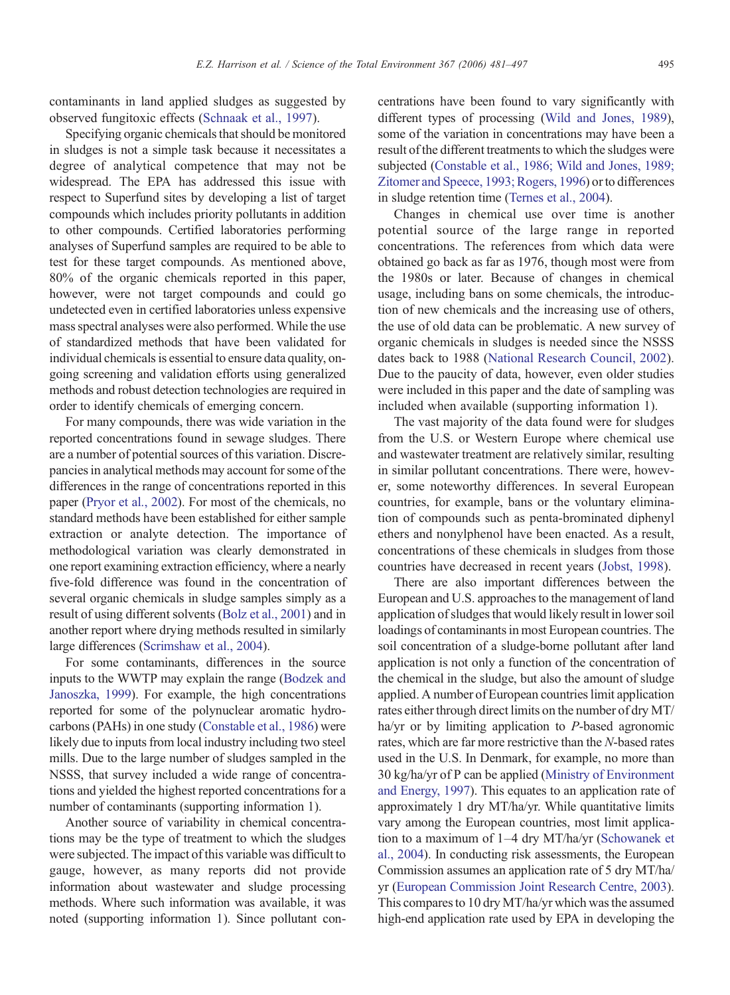contaminants in land applied sludges as suggested by observed fungitoxic effects [\(Schnaak et al., 1997](#page-16-0)).

Specifying organic chemicals that should be monitored in sludges is not a simple task because it necessitates a degree of analytical competence that may not be widespread. The EPA has addressed this issue with respect to Superfund sites by developing a list of target compounds which includes priority pollutants in addition to other compounds. Certified laboratories performing analyses of Superfund samples are required to be able to test for these target compounds. As mentioned above, 80% of the organic chemicals reported in this paper, however, were not target compounds and could go undetected even in certified laboratories unless expensive mass spectral analyses were also performed. While the use of standardized methods that have been validated for individual chemicals is essential to ensure data quality, ongoing screening and validation efforts using generalized methods and robust detection technologies are required in order to identify chemicals of emerging concern.

For many compounds, there was wide variation in the reported concentrations found in sewage sludges. There are a number of potential sources of this variation. Discrepancies in analytical methods may account for some of the differences in the range of concentrations reported in this paper [\(Pryor et al., 2002](#page-16-0)). For most of the chemicals, no standard methods have been established for either sample extraction or analyte detection. The importance of methodological variation was clearly demonstrated in one report examining extraction efficiency, where a nearly five-fold difference was found in the concentration of several organic chemicals in sludge samples simply as a result of using different solvents ([Bolz et al., 2001\)](#page-15-0) and in another report where drying methods resulted in similarly large differences ([Scrimshaw et al., 2004](#page-16-0)).

For some contaminants, differences in the source inputs to the WWTP may explain the range ([Bodzek and](#page-15-0) [Janoszka, 1999\)](#page-15-0). For example, the high concentrations reported for some of the polynuclear aromatic hydrocarbons (PAHs) in one study [\(Constable et al., 1986](#page-15-0)) were likely due to inputs from local industry including two steel mills. Due to the large number of sludges sampled in the NSSS, that survey included a wide range of concentrations and yielded the highest reported concentrations for a number of contaminants (supporting information 1).

Another source of variability in chemical concentrations may be the type of treatment to which the sludges were subjected. The impact of this variable was difficult to gauge, however, as many reports did not provide information about wastewater and sludge processing methods. Where such information was available, it was noted (supporting information 1). Since pollutant concentrations have been found to vary significantly with different types of processing ([Wild and Jones, 1989](#page-16-0)), some of the variation in concentrations may have been a result of the different treatments to which the sludges were subjected [\(Constable et al., 1986; Wild and Jones, 1989;](#page-15-0) [Zitomer and Speece, 1993; Rogers, 1996\)](#page-15-0) or to differences in sludge retention time ([Ternes et al., 2004\)](#page-16-0).

Changes in chemical use over time is another potential source of the large range in reported concentrations. The references from which data were obtained go back as far as 1976, though most were from the 1980s or later. Because of changes in chemical usage, including bans on some chemicals, the introduction of new chemicals and the increasing use of others, the use of old data can be problematic. A new survey of organic chemicals in sludges is needed since the NSSS dates back to 1988 [\(National Research Council, 2002](#page-16-0)). Due to the paucity of data, however, even older studies were included in this paper and the date of sampling was included when available (supporting information 1).

The vast majority of the data found were for sludges from the U.S. or Western Europe where chemical use and wastewater treatment are relatively similar, resulting in similar pollutant concentrations. There were, however, some noteworthy differences. In several European countries, for example, bans or the voluntary elimination of compounds such as penta-brominated diphenyl ethers and nonylphenol have been enacted. As a result, concentrations of these chemicals in sludges from those countries have decreased in recent years [\(Jobst, 1998](#page-15-0)).

There are also important differences between the European and U.S. approaches to the management of land application of sludges that would likely result in lower soil loadings of contaminants in most European countries. The soil concentration of a sludge-borne pollutant after land application is not only a function of the concentration of the chemical in the sludge, but also the amount of sludge applied. A number of European countries limit application rates either through direct limits on the number of dry MT/ ha/yr or by limiting application to P-based agronomic rates, which are far more restrictive than the N-based rates used in the U.S. In Denmark, for example, no more than 30 kg/ha/yr of P can be applied ([Ministry of Environment](#page-16-0) [and Energy, 1997\)](#page-16-0). This equates to an application rate of approximately 1 dry MT/ha/yr. While quantitative limits vary among the European countries, most limit application to a maximum of 1–4 dry MT/ha/yr [\(Schowanek et](#page-16-0) [al., 2004](#page-16-0)). In conducting risk assessments, the European Commission assumes an application rate of 5 dry MT/ha/ yr ([European Commission Joint Research Centre, 2003](#page-15-0)). This compares to 10 dry MT/ha/yr which was the assumed high-end application rate used by EPA in developing the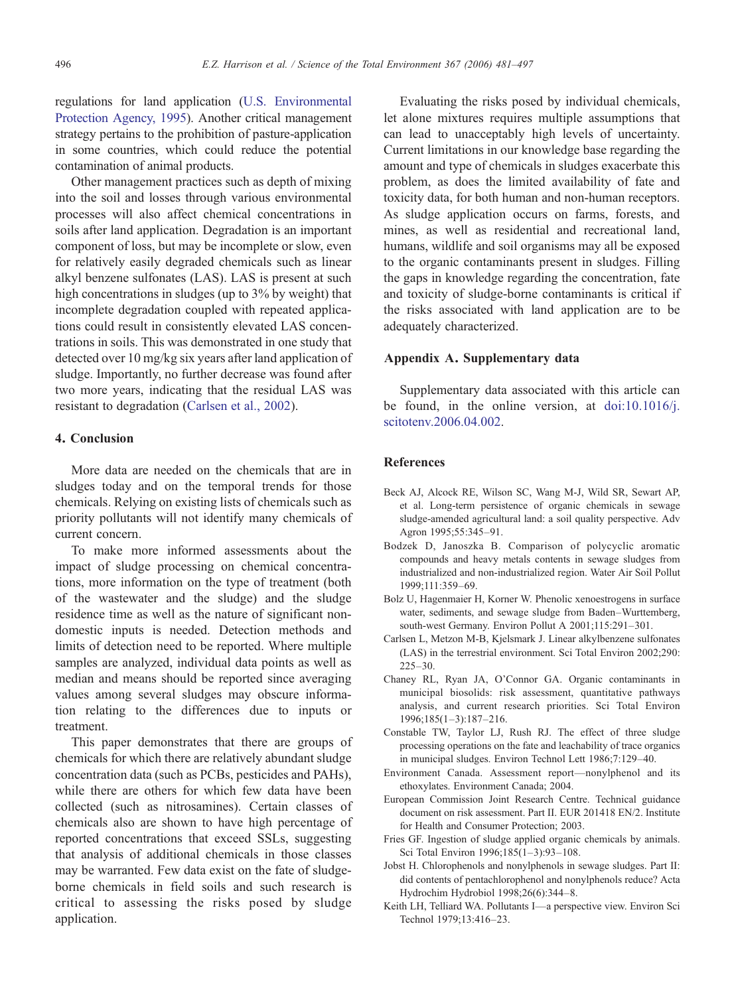<span id="page-15-0"></span>regulations for land application ([U.S. Environmental](#page-16-0) [Protection Agency, 1995](#page-16-0)). Another critical management strategy pertains to the prohibition of pasture-application in some countries, which could reduce the potential contamination of animal products.

Other management practices such as depth of mixing into the soil and losses through various environmental processes will also affect chemical concentrations in soils after land application. Degradation is an important component of loss, but may be incomplete or slow, even for relatively easily degraded chemicals such as linear alkyl benzene sulfonates (LAS). LAS is present at such high concentrations in sludges (up to 3% by weight) that incomplete degradation coupled with repeated applications could result in consistently elevated LAS concentrations in soils. This was demonstrated in one study that detected over 10 mg/kg six years after land application of sludge. Importantly, no further decrease was found after two more years, indicating that the residual LAS was resistant to degradation (Carlsen et al., 2002).

# 4. Conclusion

More data are needed on the chemicals that are in sludges today and on the temporal trends for those chemicals. Relying on existing lists of chemicals such as priority pollutants will not identify many chemicals of current concern.

To make more informed assessments about the impact of sludge processing on chemical concentrations, more information on the type of treatment (both of the wastewater and the sludge) and the sludge residence time as well as the nature of significant nondomestic inputs is needed. Detection methods and limits of detection need to be reported. Where multiple samples are analyzed, individual data points as well as median and means should be reported since averaging values among several sludges may obscure information relating to the differences due to inputs or treatment.

This paper demonstrates that there are groups of chemicals for which there are relatively abundant sludge concentration data (such as PCBs, pesticides and PAHs), while there are others for which few data have been collected (such as nitrosamines). Certain classes of chemicals also are shown to have high percentage of reported concentrations that exceed SSLs, suggesting that analysis of additional chemicals in those classes may be warranted. Few data exist on the fate of sludgeborne chemicals in field soils and such research is critical to assessing the risks posed by sludge application.

Evaluating the risks posed by individual chemicals, let alone mixtures requires multiple assumptions that can lead to unacceptably high levels of uncertainty. Current limitations in our knowledge base regarding the amount and type of chemicals in sludges exacerbate this problem, as does the limited availability of fate and toxicity data, for both human and non-human receptors. As sludge application occurs on farms, forests, and mines, as well as residential and recreational land, humans, wildlife and soil organisms may all be exposed to the organic contaminants present in sludges. Filling the gaps in knowledge regarding the concentration, fate and toxicity of sludge-borne contaminants is critical if the risks associated with land application are to be adequately characterized.

### Appendix A. Supplementary data

Supplementary data associated with this article can be found, in the online version, at [doi:10.1016/j.](http://dx.doi.org/doi:10.1016/j.scitotenv.2006.04.002) [scitotenv.2006.04.002.](http://dx.doi.org/doi:10.1016/j.scitotenv.2006.04.002)

# References

- Beck AJ, Alcock RE, Wilson SC, Wang M-J, Wild SR, Sewart AP, et al. Long-term persistence of organic chemicals in sewage sludge-amended agricultural land: a soil quality perspective. Adv Agron 1995;55:345–91.
- Bodzek D, Janoszka B. Comparison of polycyclic aromatic compounds and heavy metals contents in sewage sludges from industrialized and non-industrialized region. Water Air Soil Pollut 1999;111:359–69.
- Bolz U, Hagenmaier H, Korner W. Phenolic xenoestrogens in surface water, sediments, and sewage sludge from Baden–Wurttemberg, south-west Germany. Environ Pollut A 2001;115:291–301.
- Carlsen L, Metzon M-B, Kjelsmark J. Linear alkylbenzene sulfonates (LAS) in the terrestrial environment. Sci Total Environ 2002;290: 225–30.
- Chaney RL, Ryan JA, O'Connor GA. Organic contaminants in municipal biosolids: risk assessment, quantitative pathways analysis, and current research priorities. Sci Total Environ 1996;185(1–3):187–216.
- Constable TW, Taylor LJ, Rush RJ. The effect of three sludge processing operations on the fate and leachability of trace organics in municipal sludges. Environ Technol Lett 1986;7:129–40.
- Environment Canada. Assessment report—nonylphenol and its ethoxylates. Environment Canada; 2004.
- European Commission Joint Research Centre. Technical guidance document on risk assessment. Part II. EUR 201418 EN/2. Institute for Health and Consumer Protection; 2003.
- Fries GF. Ingestion of sludge applied organic chemicals by animals. Sci Total Environ 1996;185(1–3):93–108.
- Jobst H. Chlorophenols and nonylphenols in sewage sludges. Part II: did contents of pentachlorophenol and nonylphenols reduce? Acta Hydrochim Hydrobiol 1998;26(6):344–8.
- Keith LH, Telliard WA. Pollutants I—a perspective view. Environ Sci Technol 1979;13:416–23.